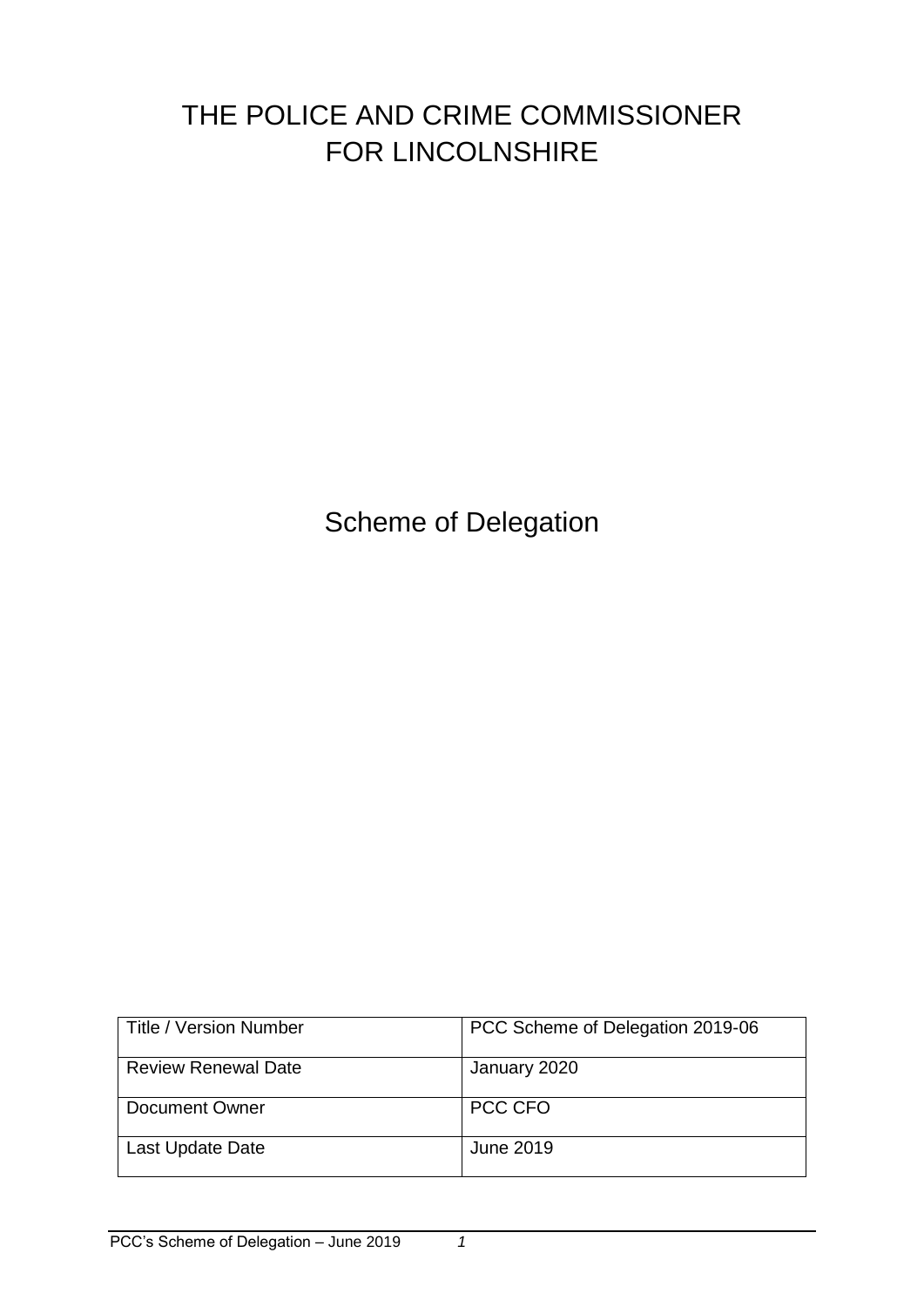# THE POLICE AND CRIME COMMISSIONER FOR LINCOLNSHIRE

Scheme of Delegation

| Title / Version Number     | PCC Scheme of Delegation 2019-06 |
|----------------------------|----------------------------------|
| <b>Review Renewal Date</b> | January 2020                     |
| Document Owner             | PCC CFO                          |
| Last Update Date           | June 2019                        |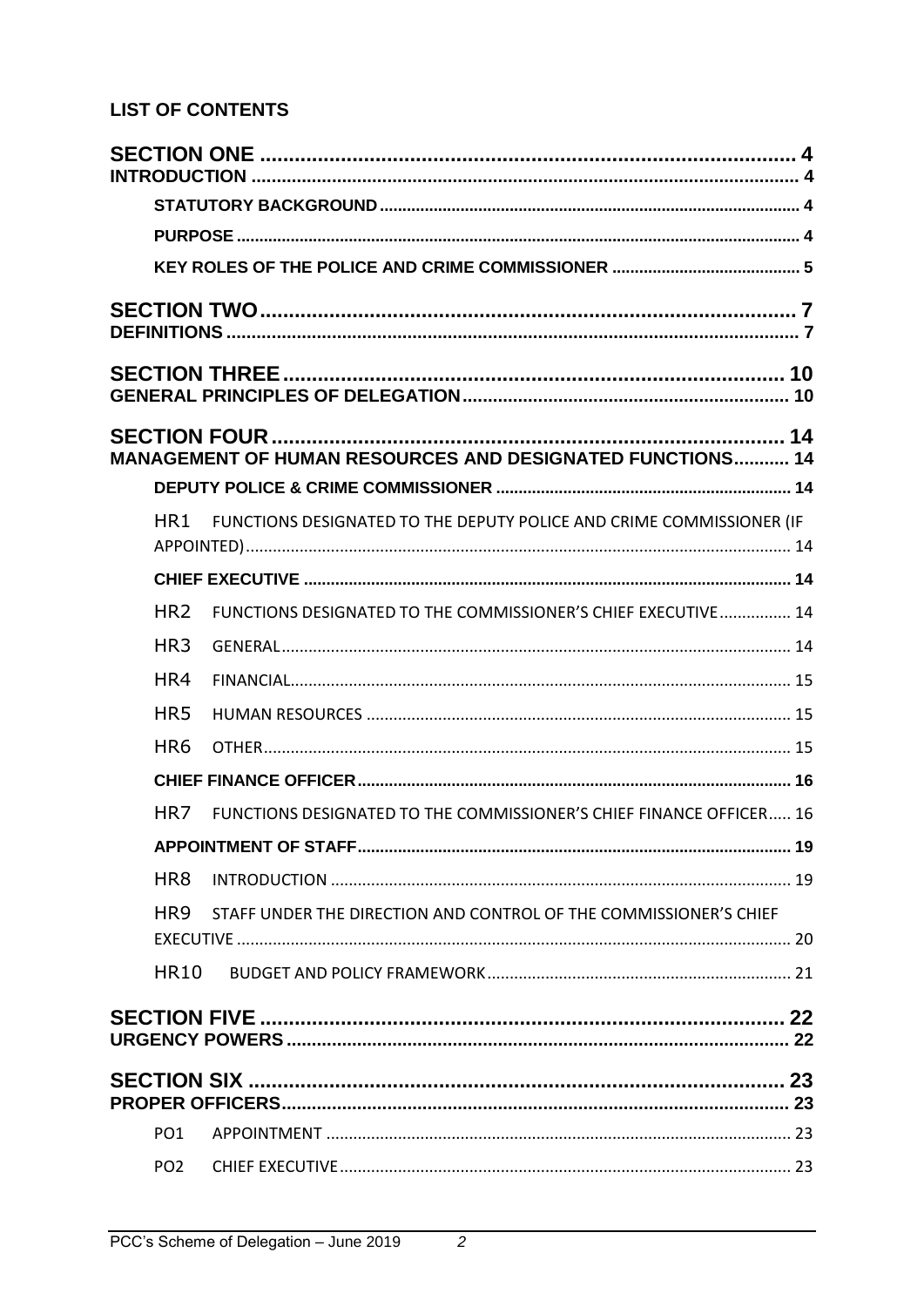## **LIST OF CONTENTS**

|                 | <b>MANAGEMENT OF HUMAN RESOURCES AND DESIGNATED FUNCTIONS 14</b>     | 14 |
|-----------------|----------------------------------------------------------------------|----|
|                 |                                                                      |    |
| HR <sub>1</sub> | FUNCTIONS DESIGNATED TO THE DEPUTY POLICE AND CRIME COMMISSIONER (IF |    |
|                 |                                                                      |    |
| HR <sub>2</sub> | FUNCTIONS DESIGNATED TO THE COMMISSIONER'S CHIEF EXECUTIVE 14        |    |
| HR <sub>3</sub> |                                                                      |    |
| HR4             |                                                                      |    |
| HR5             |                                                                      |    |
| HR <sub>6</sub> |                                                                      |    |
|                 |                                                                      |    |
| HR <sub>7</sub> | FUNCTIONS DESIGNATED TO THE COMMISSIONER'S CHIEF FINANCE OFFICER 16  |    |
|                 |                                                                      |    |
| HR <sub>8</sub> |                                                                      |    |
| HR <sub>9</sub> | STAFF UNDER THE DIRECTION AND CONTROL OF THE COMMISSIONER'S CHIEF    |    |
|                 |                                                                      |    |
| <b>HR10</b>     |                                                                      |    |
|                 | URGENCY POWERS ………………………………………………………………………………………… 22                 |    |
|                 |                                                                      |    |
| PO <sub>1</sub> |                                                                      |    |
|                 |                                                                      |    |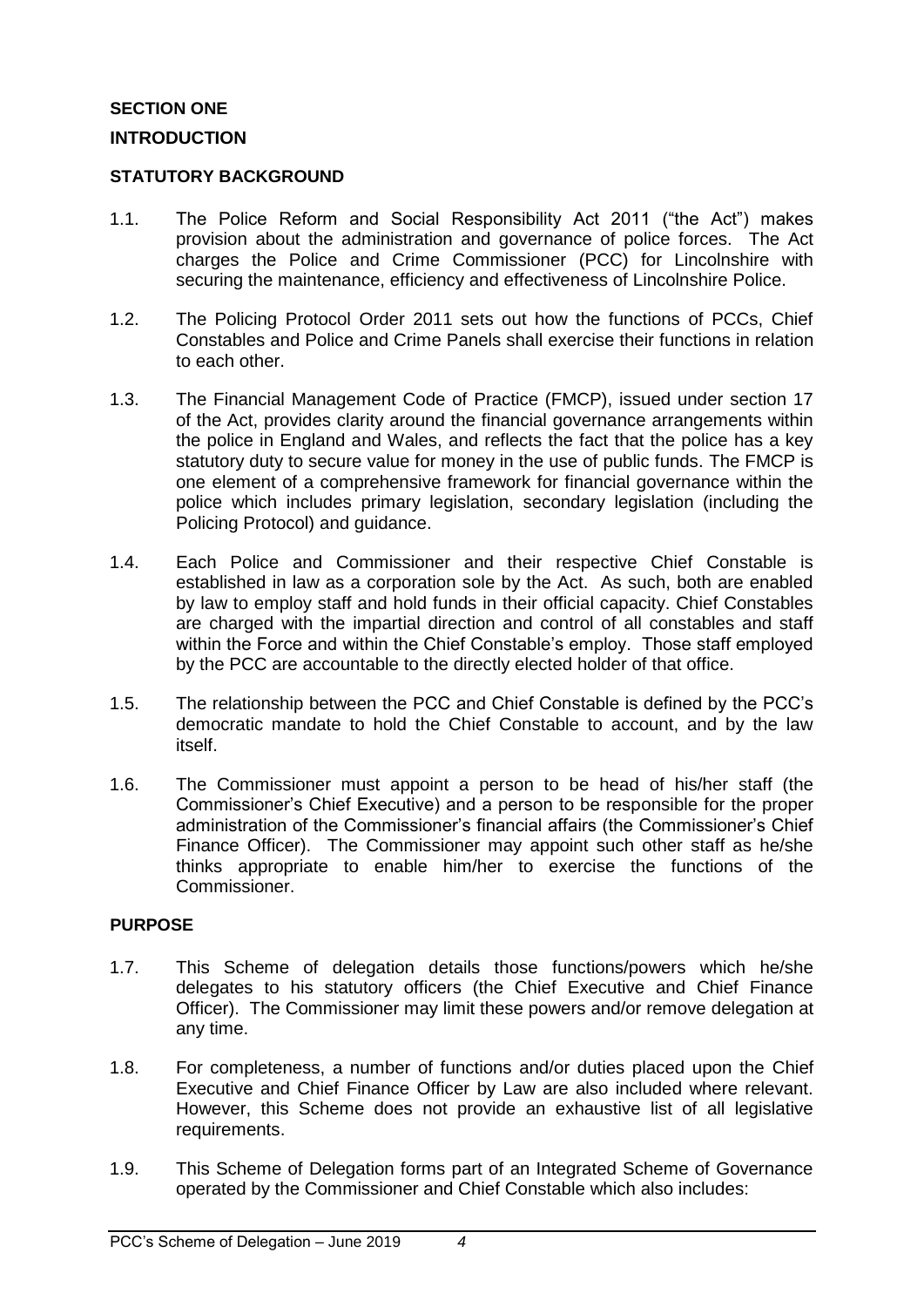## <span id="page-3-1"></span><span id="page-3-0"></span>**SECTION ONE INTRODUCTION**

#### <span id="page-3-2"></span>**STATUTORY BACKGROUND**

- 1.1. The Police Reform and Social Responsibility Act 2011 ("the Act") makes provision about the administration and governance of police forces. The Act charges the Police and Crime Commissioner (PCC) for Lincolnshire with securing the maintenance, efficiency and effectiveness of Lincolnshire Police.
- 1.2. The Policing Protocol Order 2011 sets out how the functions of PCCs, Chief Constables and Police and Crime Panels shall exercise their functions in relation to each other.
- 1.3. The Financial Management Code of Practice (FMCP), issued under section 17 of the Act, provides clarity around the financial governance arrangements within the police in England and Wales, and reflects the fact that the police has a key statutory duty to secure value for money in the use of public funds. The FMCP is one element of a comprehensive framework for financial governance within the police which includes primary legislation, secondary legislation (including the Policing Protocol) and guidance.
- 1.4. Each Police and Commissioner and their respective Chief Constable is established in law as a corporation sole by the Act. As such, both are enabled by law to employ staff and hold funds in their official capacity. Chief Constables are charged with the impartial direction and control of all constables and staff within the Force and within the Chief Constable's employ. Those staff employed by the PCC are accountable to the directly elected holder of that office.
- 1.5. The relationship between the PCC and Chief Constable is defined by the PCC's democratic mandate to hold the Chief Constable to account, and by the law itself.
- 1.6. The Commissioner must appoint a person to be head of his/her staff (the Commissioner's Chief Executive) and a person to be responsible for the proper administration of the Commissioner's financial affairs (the Commissioner's Chief Finance Officer). The Commissioner may appoint such other staff as he/she thinks appropriate to enable him/her to exercise the functions of the Commissioner.

#### <span id="page-3-3"></span>**PURPOSE**

- 1.7. This Scheme of delegation details those functions/powers which he/she delegates to his statutory officers (the Chief Executive and Chief Finance Officer). The Commissioner may limit these powers and/or remove delegation at any time.
- 1.8. For completeness, a number of functions and/or duties placed upon the Chief Executive and Chief Finance Officer by Law are also included where relevant. However, this Scheme does not provide an exhaustive list of all legislative requirements.
- 1.9. This Scheme of Delegation forms part of an Integrated Scheme of Governance operated by the Commissioner and Chief Constable which also includes: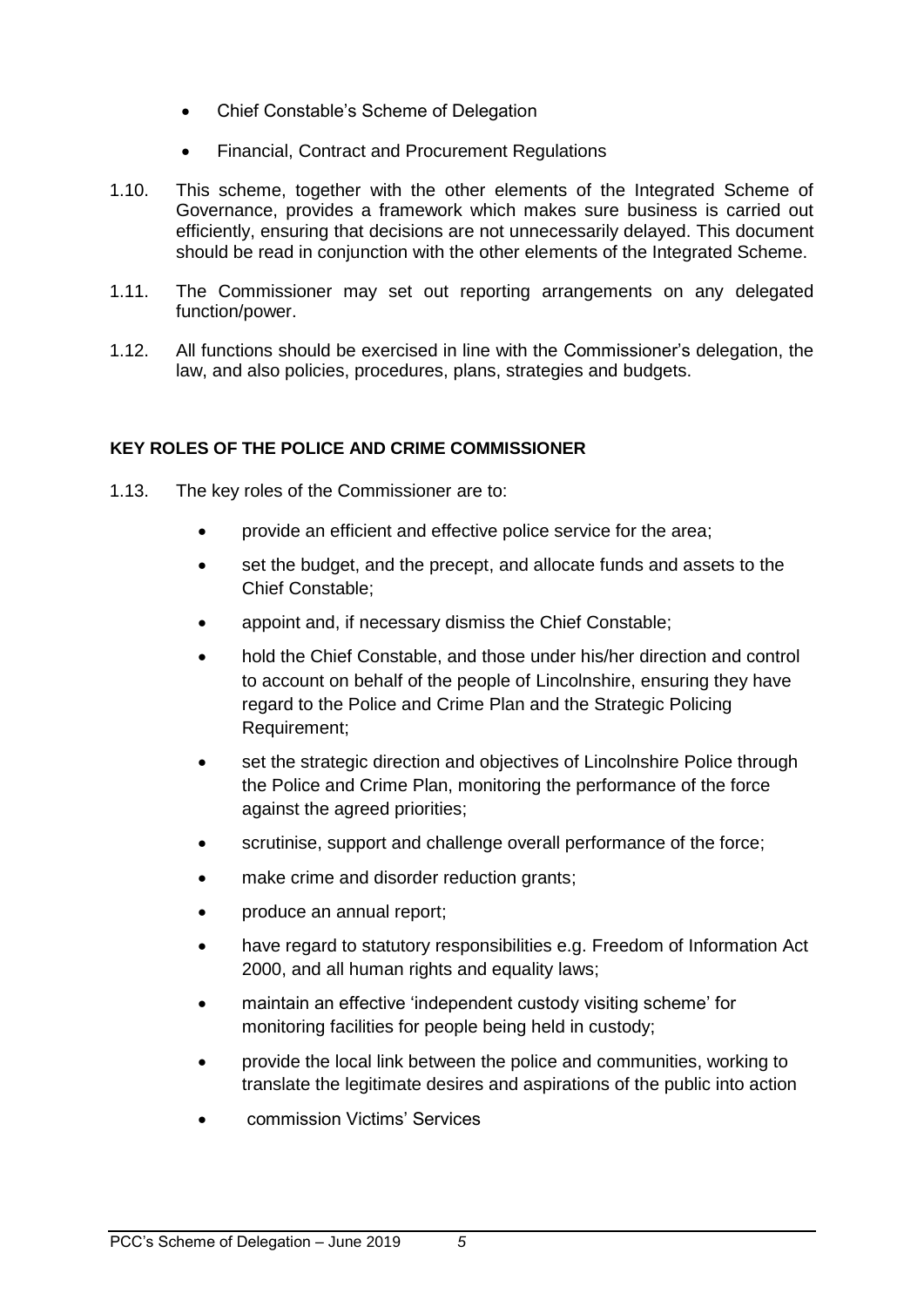- Chief Constable's Scheme of Delegation
- Financial, Contract and Procurement Regulations
- 1.10. This scheme, together with the other elements of the Integrated Scheme of Governance, provides a framework which makes sure business is carried out efficiently, ensuring that decisions are not unnecessarily delayed. This document should be read in conjunction with the other elements of the Integrated Scheme.
- 1.11. The Commissioner may set out reporting arrangements on any delegated function/power.
- 1.12. All functions should be exercised in line with the Commissioner's delegation, the law, and also policies, procedures, plans, strategies and budgets.

## <span id="page-4-0"></span>**KEY ROLES OF THE POLICE AND CRIME COMMISSIONER**

- 1.13. The key roles of the Commissioner are to:
	- provide an efficient and effective police service for the area;
	- set the budget, and the precept, and allocate funds and assets to the Chief Constable;
	- appoint and, if necessary dismiss the Chief Constable;
	- hold the Chief Constable, and those under his/her direction and control to account on behalf of the people of Lincolnshire, ensuring they have regard to the Police and Crime Plan and the Strategic Policing Requirement;
	- set the strategic direction and objectives of Lincolnshire Police through the Police and Crime Plan, monitoring the performance of the force against the agreed priorities;
	- scrutinise, support and challenge overall performance of the force;
	- make crime and disorder reduction grants:
	- produce an annual report;
	- have regard to statutory responsibilities e.g. Freedom of Information Act 2000, and all human rights and equality laws;
	- maintain an effective 'independent custody visiting scheme' for monitoring facilities for people being held in custody;
	- provide the local link between the police and communities, working to translate the legitimate desires and aspirations of the public into action
	- commission Victims' Services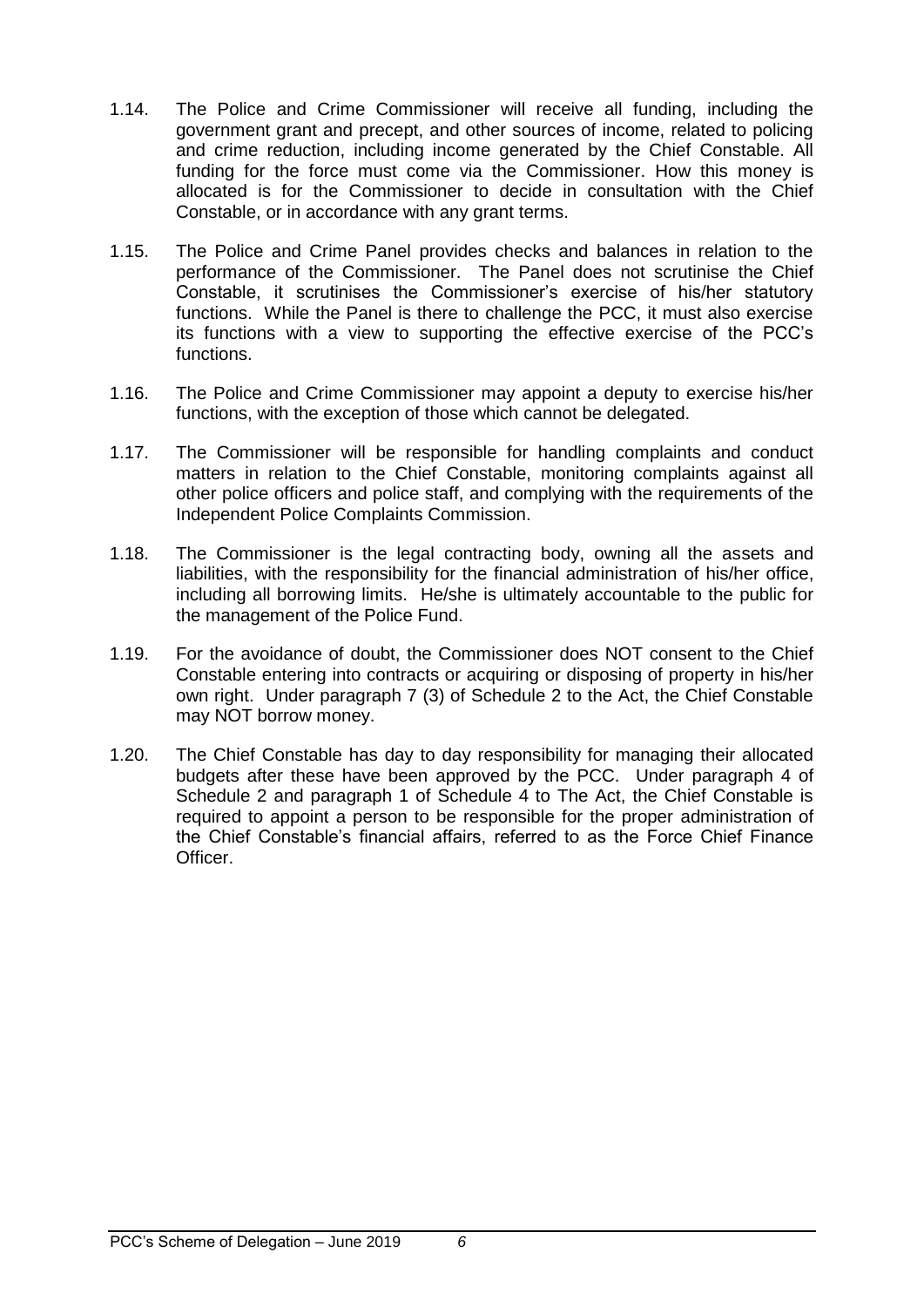- 1.14. The Police and Crime Commissioner will receive all funding, including the government grant and precept, and other sources of income, related to policing and crime reduction, including income generated by the Chief Constable. All funding for the force must come via the Commissioner. How this money is allocated is for the Commissioner to decide in consultation with the Chief Constable, or in accordance with any grant terms.
- 1.15. The Police and Crime Panel provides checks and balances in relation to the performance of the Commissioner. The Panel does not scrutinise the Chief Constable, it scrutinises the Commissioner's exercise of his/her statutory functions. While the Panel is there to challenge the PCC, it must also exercise its functions with a view to supporting the effective exercise of the PCC's functions.
- 1.16. The Police and Crime Commissioner may appoint a deputy to exercise his/her functions, with the exception of those which cannot be delegated.
- 1.17. The Commissioner will be responsible for handling complaints and conduct matters in relation to the Chief Constable, monitoring complaints against all other police officers and police staff, and complying with the requirements of the Independent Police Complaints Commission.
- 1.18. The Commissioner is the legal contracting body, owning all the assets and liabilities, with the responsibility for the financial administration of his/her office, including all borrowing limits. He/she is ultimately accountable to the public for the management of the Police Fund.
- 1.19. For the avoidance of doubt, the Commissioner does NOT consent to the Chief Constable entering into contracts or acquiring or disposing of property in his/her own right. Under paragraph 7 (3) of Schedule 2 to the Act, the Chief Constable may NOT borrow money.
- 1.20. The Chief Constable has day to day responsibility for managing their allocated budgets after these have been approved by the PCC. Under paragraph 4 of Schedule 2 and paragraph 1 of Schedule 4 to The Act, the Chief Constable is required to appoint a person to be responsible for the proper administration of the Chief Constable's financial affairs, referred to as the Force Chief Finance Officer.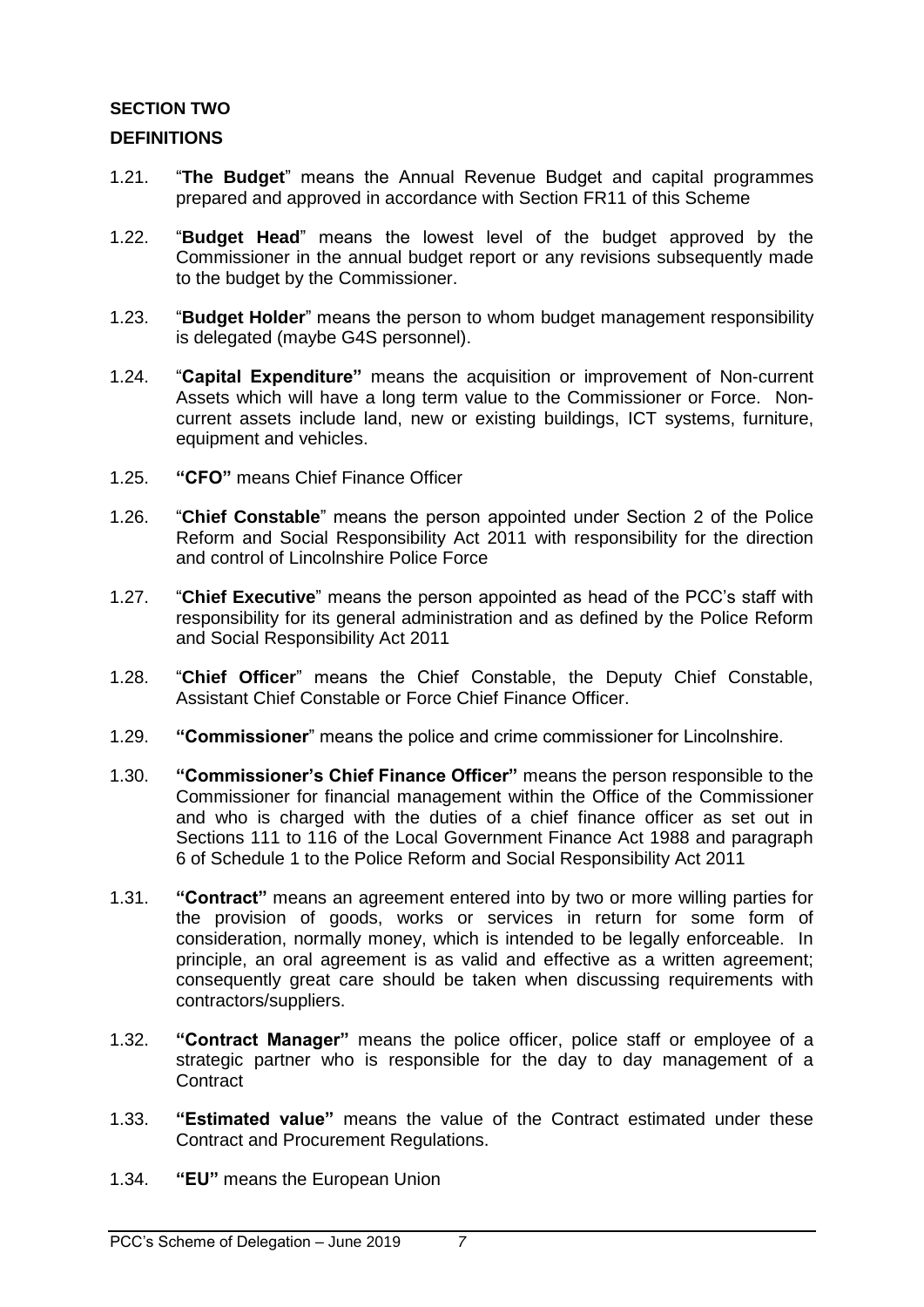## <span id="page-6-0"></span>**SECTION TWO**

## <span id="page-6-1"></span>**DEFINITIONS**

- 1.21. "**The Budget**" means the Annual Revenue Budget and capital programmes prepared and approved in accordance with Section FR11 of this Scheme
- 1.22. "**Budget Head**" means the lowest level of the budget approved by the Commissioner in the annual budget report or any revisions subsequently made to the budget by the Commissioner.
- 1.23. "**Budget Holder**" means the person to whom budget management responsibility is delegated (maybe G4S personnel).
- 1.24. "**Capital Expenditure"** means the acquisition or improvement of Non-current Assets which will have a long term value to the Commissioner or Force. Noncurrent assets include land, new or existing buildings, ICT systems, furniture, equipment and vehicles.
- 1.25. **"CFO"** means Chief Finance Officer
- 1.26. "**Chief Constable**" means the person appointed under Section 2 of the Police Reform and Social Responsibility Act 2011 with responsibility for the direction and control of Lincolnshire Police Force
- 1.27. "**Chief Executive**" means the person appointed as head of the PCC's staff with responsibility for its general administration and as defined by the Police Reform and Social Responsibility Act 2011
- 1.28. "**Chief Officer**" means the Chief Constable, the Deputy Chief Constable, Assistant Chief Constable or Force Chief Finance Officer.
- 1.29. **"Commissioner**" means the police and crime commissioner for Lincolnshire.
- 1.30. **"Commissioner's Chief Finance Officer"** means the person responsible to the Commissioner for financial management within the Office of the Commissioner and who is charged with the duties of a chief finance officer as set out in Sections 111 to 116 of the Local Government Finance Act 1988 and paragraph 6 of Schedule 1 to the Police Reform and Social Responsibility Act 2011
- 1.31. **"Contract"** means an agreement entered into by two or more willing parties for the provision of goods, works or services in return for some form of consideration, normally money, which is intended to be legally enforceable. In principle, an oral agreement is as valid and effective as a written agreement; consequently great care should be taken when discussing requirements with contractors/suppliers.
- 1.32. **"Contract Manager"** means the police officer, police staff or employee of a strategic partner who is responsible for the day to day management of a **Contract**
- 1.33. **"Estimated value"** means the value of the Contract estimated under these Contract and Procurement Regulations.
- 1.34. **"EU"** means the European Union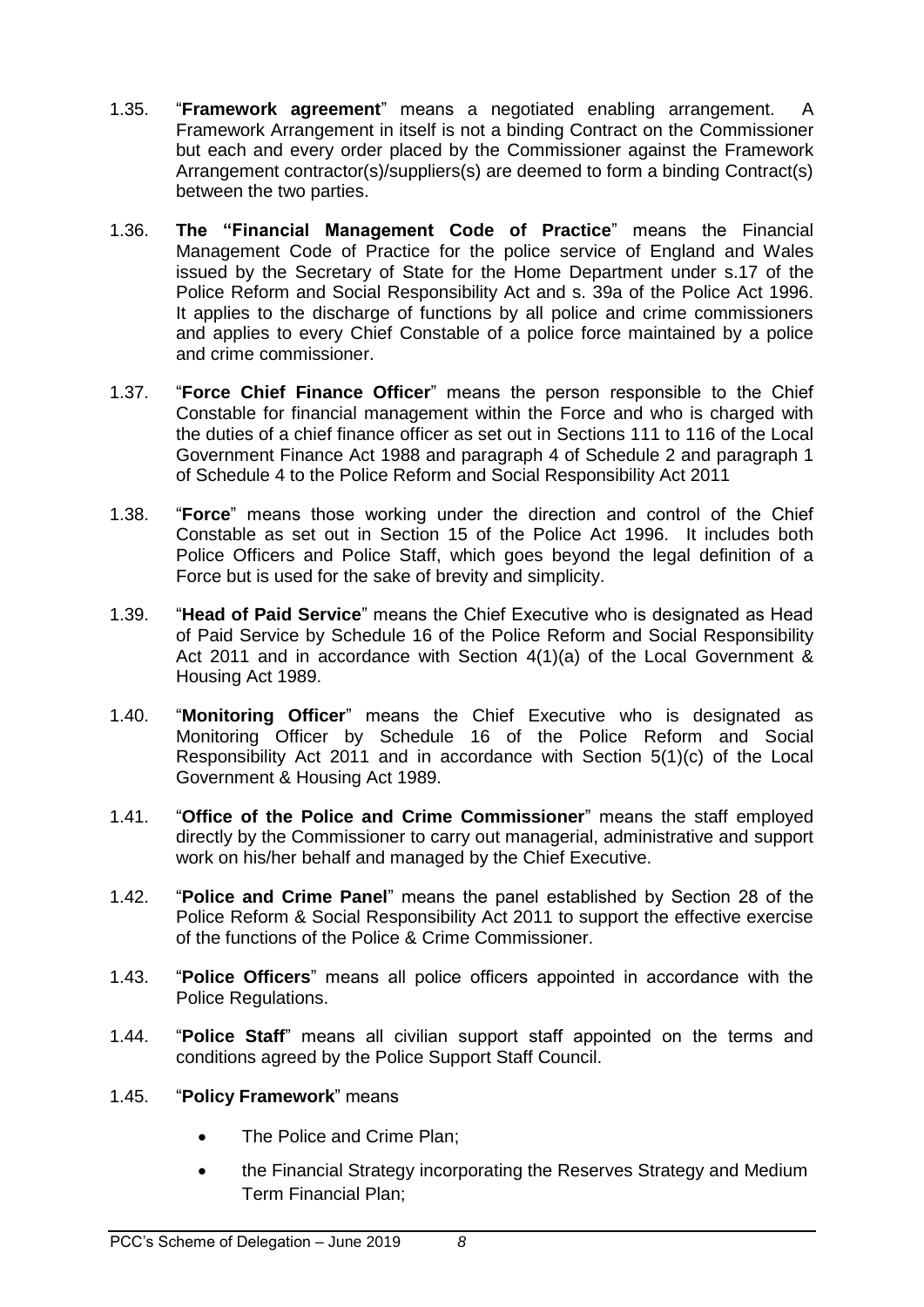- 1.35. "**Framework agreement**" means a negotiated enabling arrangement. A Framework Arrangement in itself is not a binding Contract on the Commissioner but each and every order placed by the Commissioner against the Framework Arrangement contractor(s)/suppliers(s) are deemed to form a binding Contract(s) between the two parties.
- 1.36. **The "Financial Management Code of Practice**" means the Financial Management Code of Practice for the police service of England and Wales issued by the Secretary of State for the Home Department under s.17 of the Police Reform and Social Responsibility Act and s. 39a of the Police Act 1996. It applies to the discharge of functions by all police and crime commissioners and applies to every Chief Constable of a police force maintained by a police and crime commissioner.
- 1.37. "**Force Chief Finance Officer**" means the person responsible to the Chief Constable for financial management within the Force and who is charged with the duties of a chief finance officer as set out in Sections 111 to 116 of the Local Government Finance Act 1988 and paragraph 4 of Schedule 2 and paragraph 1 of Schedule 4 to the Police Reform and Social Responsibility Act 2011
- 1.38. "**Force**" means those working under the direction and control of the Chief Constable as set out in Section 15 of the Police Act 1996. It includes both Police Officers and Police Staff, which goes beyond the legal definition of a Force but is used for the sake of brevity and simplicity.
- 1.39. "**Head of Paid Service**" means the Chief Executive who is designated as Head of Paid Service by Schedule 16 of the Police Reform and Social Responsibility Act 2011 and in accordance with Section 4(1)(a) of the Local Government & Housing Act 1989.
- 1.40. "**Monitoring Officer**" means the Chief Executive who is designated as Monitoring Officer by Schedule 16 of the Police Reform and Social Responsibility Act 2011 and in accordance with Section 5(1)(c) of the Local Government & Housing Act 1989.
- 1.41. "**Office of the Police and Crime Commissioner**" means the staff employed directly by the Commissioner to carry out managerial, administrative and support work on his/her behalf and managed by the Chief Executive.
- 1.42. "**Police and Crime Panel**" means the panel established by Section 28 of the Police Reform & Social Responsibility Act 2011 to support the effective exercise of the functions of the Police & Crime Commissioner.
- 1.43. "**Police Officers**" means all police officers appointed in accordance with the Police Regulations.
- 1.44. "**Police Staff**" means all civilian support staff appointed on the terms and conditions agreed by the Police Support Staff Council.

## 1.45. "**Policy Framework**" means

- The Police and Crime Plan;
- the Financial Strategy incorporating the Reserves Strategy and Medium Term Financial Plan;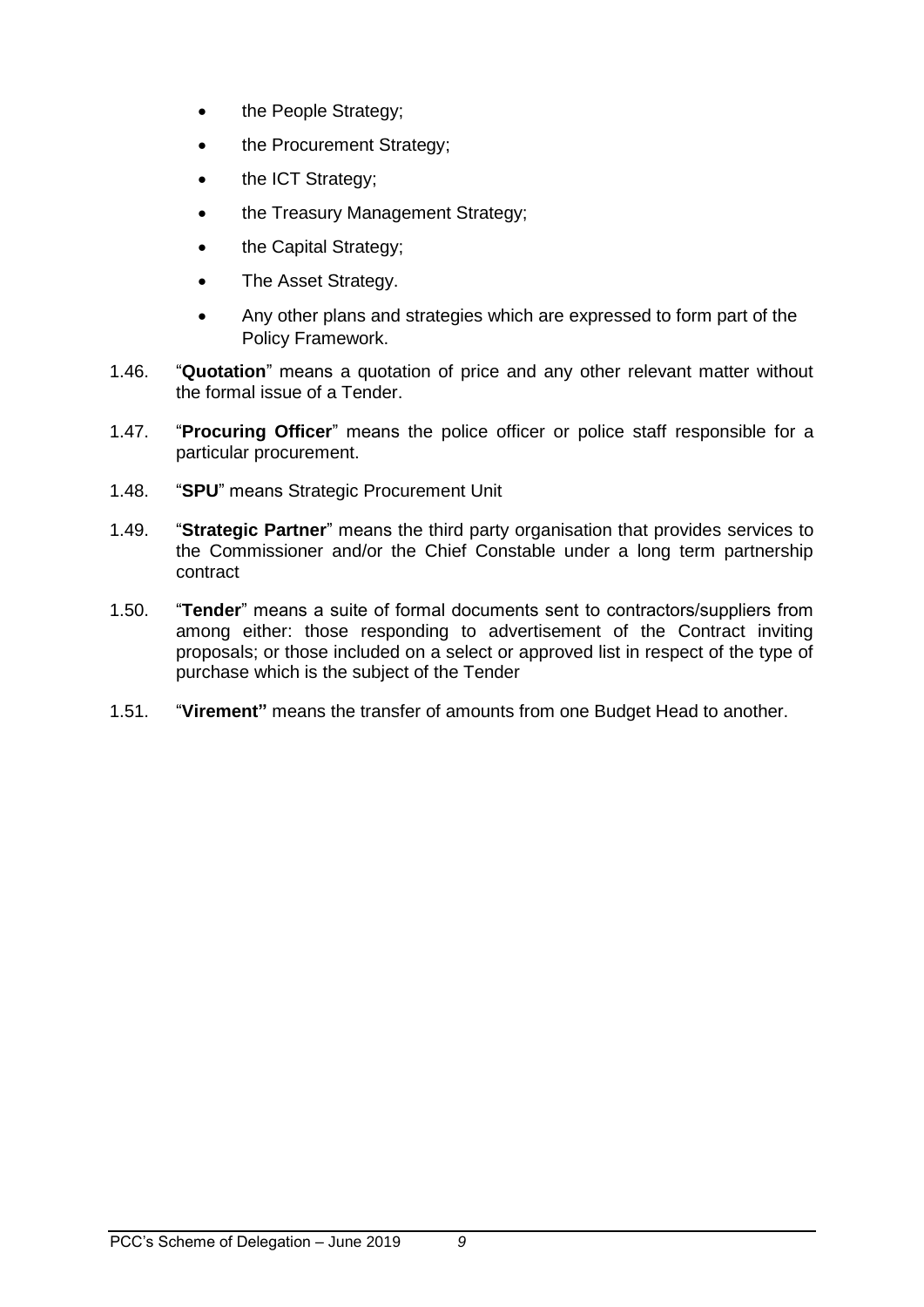- the People Strategy;
- the Procurement Strategy;
- the ICT Strategy;
- the Treasury Management Strategy;
- the Capital Strategy;
- The Asset Strategy.
- Any other plans and strategies which are expressed to form part of the Policy Framework.
- 1.46. "**Quotation**" means a quotation of price and any other relevant matter without the formal issue of a Tender.
- 1.47. "**Procuring Officer**" means the police officer or police staff responsible for a particular procurement.
- 1.48. "**SPU**" means Strategic Procurement Unit
- 1.49. "**Strategic Partner**" means the third party organisation that provides services to the Commissioner and/or the Chief Constable under a long term partnership contract
- 1.50. "**Tender**" means a suite of formal documents sent to contractors/suppliers from among either: those responding to advertisement of the Contract inviting proposals; or those included on a select or approved list in respect of the type of purchase which is the subject of the Tender
- 1.51. "**Virement"** means the transfer of amounts from one Budget Head to another.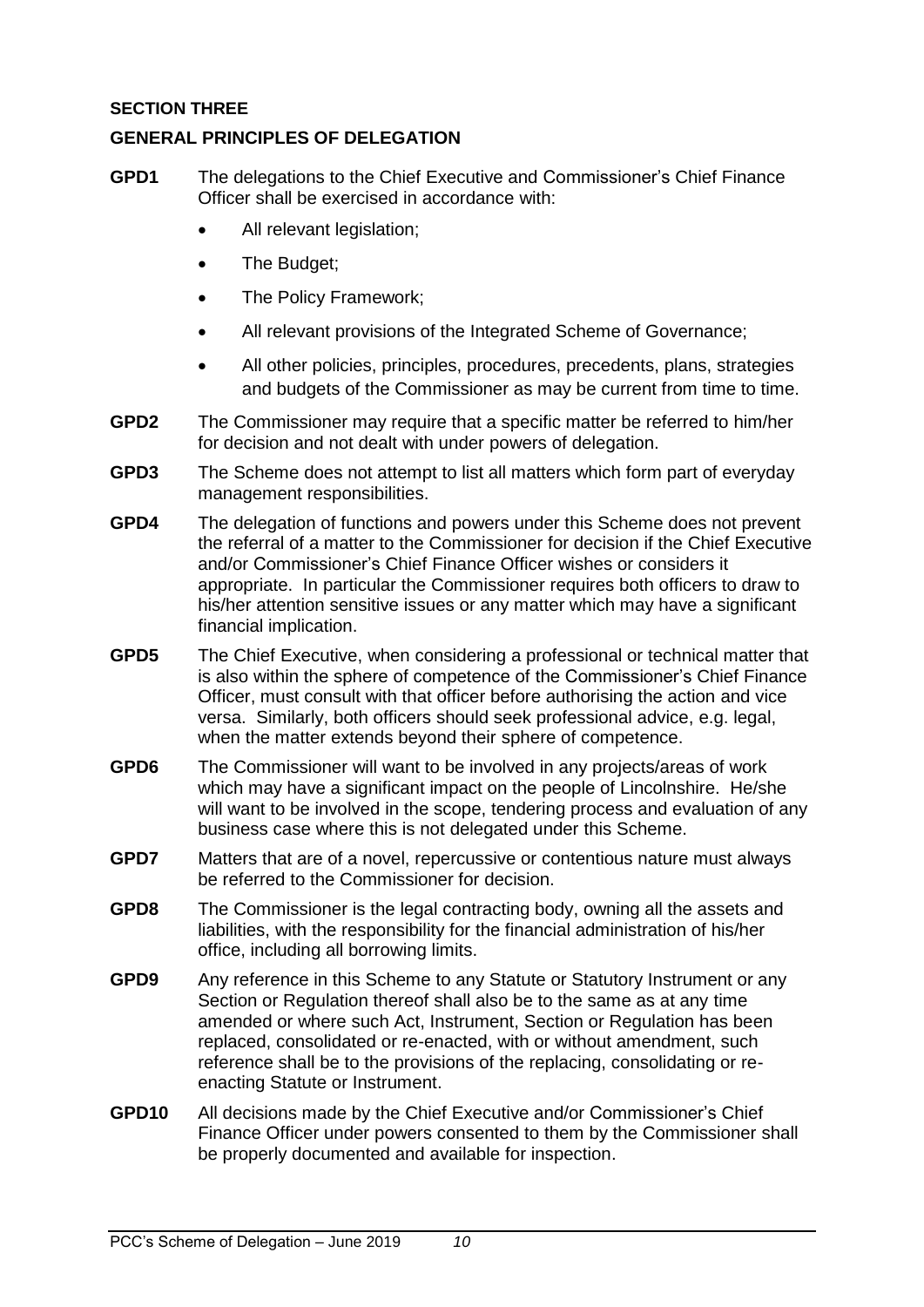## <span id="page-9-0"></span>**SECTION THREE**

## <span id="page-9-1"></span>**GENERAL PRINCIPLES OF DELEGATION**

- **GPD1** The delegations to the Chief Executive and Commissioner's Chief Finance Officer shall be exercised in accordance with:
	- All relevant legislation;
	- The Budget;
	- The Policy Framework;
	- All relevant provisions of the Integrated Scheme of Governance;
	- All other policies, principles, procedures, precedents, plans, strategies and budgets of the Commissioner as may be current from time to time.
- **GPD2** The Commissioner may require that a specific matter be referred to him/her for decision and not dealt with under powers of delegation.
- **GPD3** The Scheme does not attempt to list all matters which form part of everyday management responsibilities.
- **GPD4** The delegation of functions and powers under this Scheme does not prevent the referral of a matter to the Commissioner for decision if the Chief Executive and/or Commissioner's Chief Finance Officer wishes or considers it appropriate. In particular the Commissioner requires both officers to draw to his/her attention sensitive issues or any matter which may have a significant financial implication.
- **GPD5** The Chief Executive, when considering a professional or technical matter that is also within the sphere of competence of the Commissioner's Chief Finance Officer, must consult with that officer before authorising the action and vice versa. Similarly, both officers should seek professional advice, e.g. legal, when the matter extends beyond their sphere of competence.
- **GPD6** The Commissioner will want to be involved in any projects/areas of work which may have a significant impact on the people of Lincolnshire. He/she will want to be involved in the scope, tendering process and evaluation of any business case where this is not delegated under this Scheme.
- **GPD7** Matters that are of a novel, repercussive or contentious nature must always be referred to the Commissioner for decision.
- **GPD8** The Commissioner is the legal contracting body, owning all the assets and liabilities, with the responsibility for the financial administration of his/her office, including all borrowing limits.
- **GPD9** Any reference in this Scheme to any Statute or Statutory Instrument or any Section or Regulation thereof shall also be to the same as at any time amended or where such Act, Instrument, Section or Regulation has been replaced, consolidated or re-enacted, with or without amendment, such reference shall be to the provisions of the replacing, consolidating or reenacting Statute or Instrument.
- **GPD10** All decisions made by the Chief Executive and/or Commissioner's Chief Finance Officer under powers consented to them by the Commissioner shall be properly documented and available for inspection.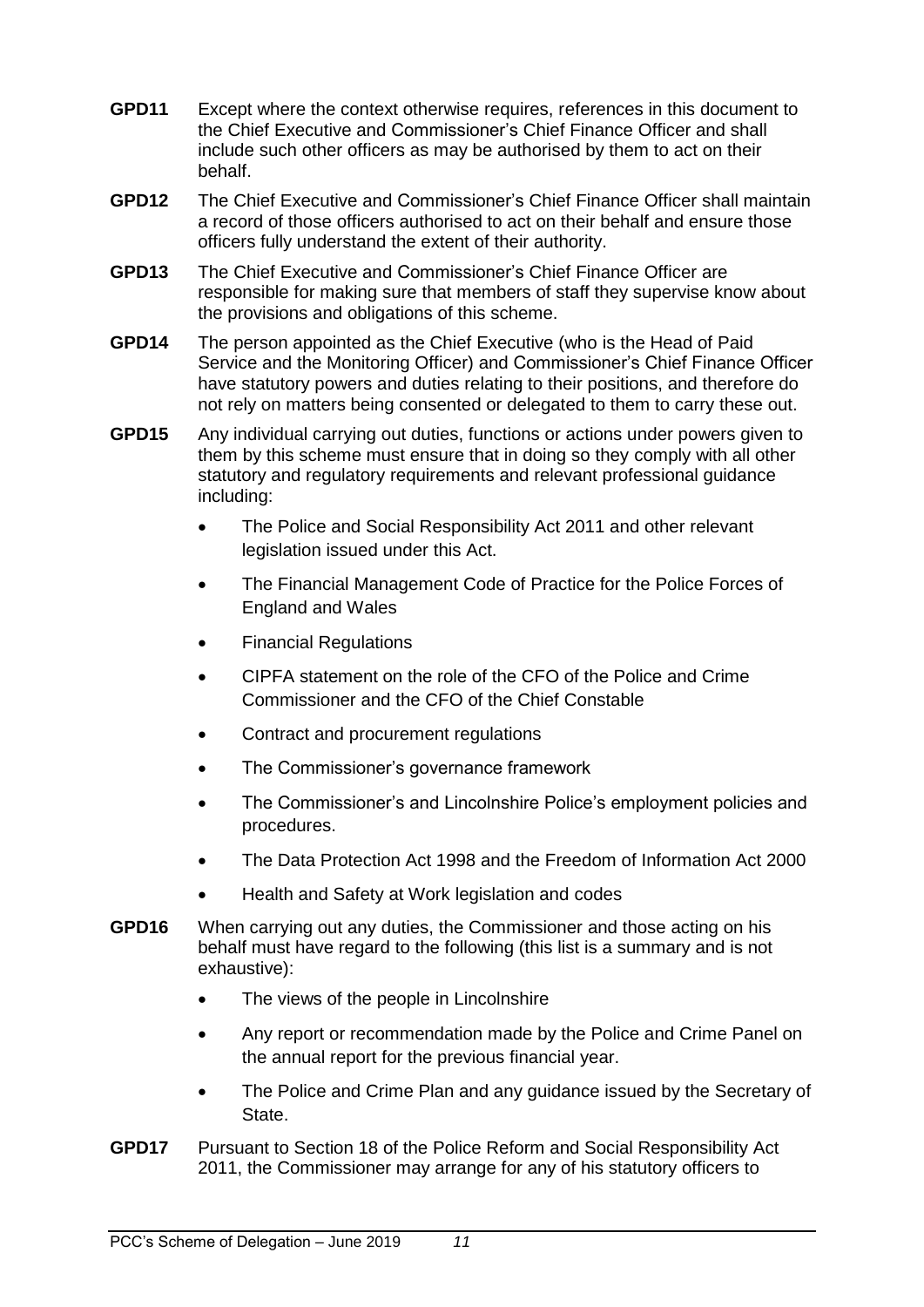- **GPD11** Except where the context otherwise requires, references in this document to the Chief Executive and Commissioner's Chief Finance Officer and shall include such other officers as may be authorised by them to act on their behalf.
- **GPD12** The Chief Executive and Commissioner's Chief Finance Officer shall maintain a record of those officers authorised to act on their behalf and ensure those officers fully understand the extent of their authority.
- **GPD13** The Chief Executive and Commissioner's Chief Finance Officer are responsible for making sure that members of staff they supervise know about the provisions and obligations of this scheme.
- **GPD14** The person appointed as the Chief Executive (who is the Head of Paid Service and the Monitoring Officer) and Commissioner's Chief Finance Officer have statutory powers and duties relating to their positions, and therefore do not rely on matters being consented or delegated to them to carry these out.
- **GPD15** Any individual carrying out duties, functions or actions under powers given to them by this scheme must ensure that in doing so they comply with all other statutory and regulatory requirements and relevant professional guidance including:
	- The Police and Social Responsibility Act 2011 and other relevant legislation issued under this Act.
	- The Financial Management Code of Practice for the Police Forces of England and Wales
	- Financial Regulations
	- CIPFA statement on the role of the CFO of the Police and Crime Commissioner and the CFO of the Chief Constable
	- Contract and procurement regulations
	- The Commissioner's governance framework
	- The Commissioner's and Lincolnshire Police's employment policies and procedures.
	- The Data Protection Act 1998 and the Freedom of Information Act 2000
	- Health and Safety at Work legislation and codes
- **GPD16** When carrying out any duties, the Commissioner and those acting on his behalf must have regard to the following (this list is a summary and is not exhaustive):
	- The views of the people in Lincolnshire
	- Any report or recommendation made by the Police and Crime Panel on the annual report for the previous financial year.
	- The Police and Crime Plan and any guidance issued by the Secretary of State.
- <span id="page-10-0"></span>**GPD17** Pursuant to Section 18 of the Police Reform and Social Responsibility Act 2011, the Commissioner may arrange for any of his statutory officers to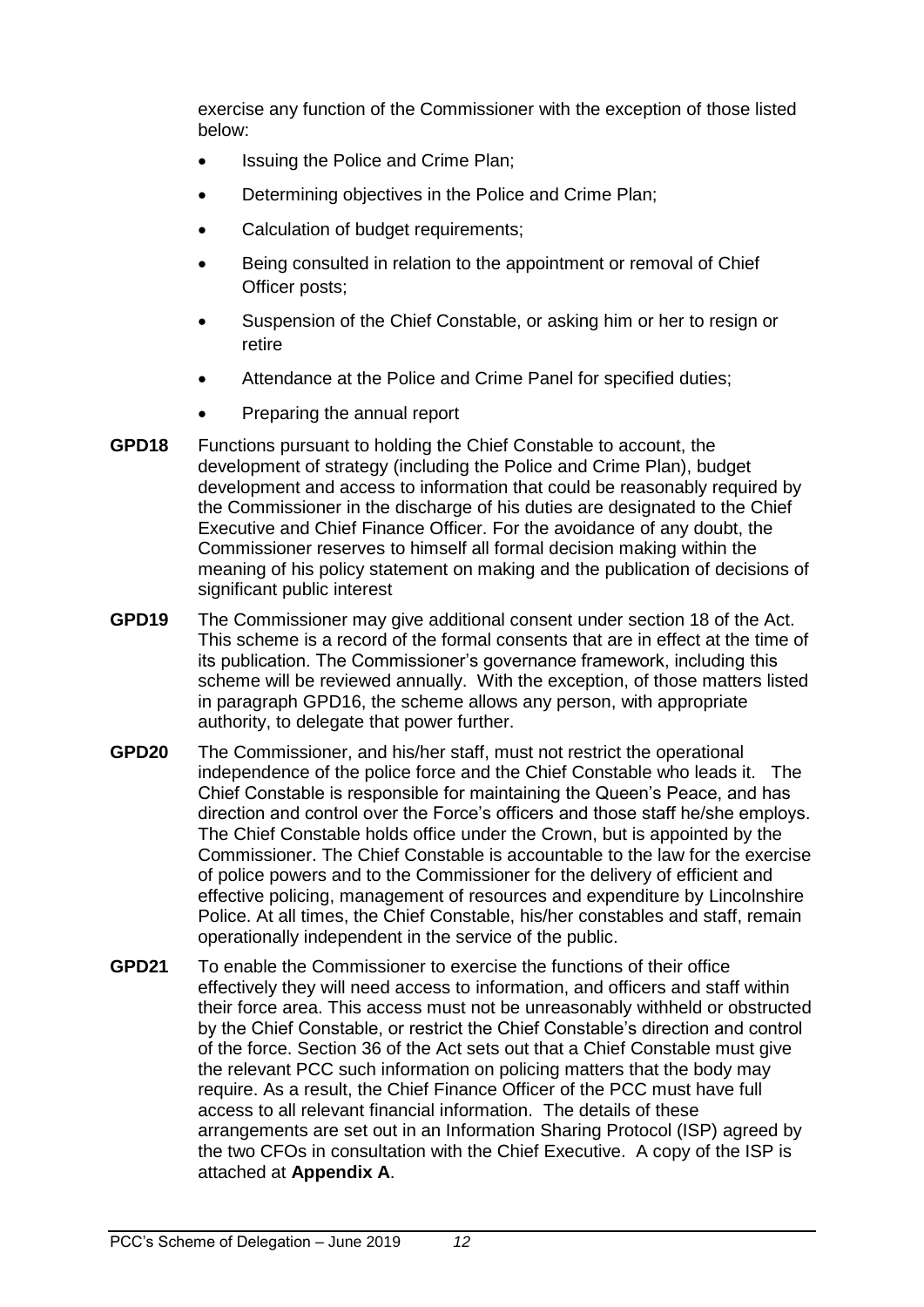exercise any function of the Commissioner with the exception of those listed below:

- Issuing the Police and Crime Plan;
- Determining objectives in the Police and Crime Plan;
- Calculation of budget requirements;
- Being consulted in relation to the appointment or removal of Chief Officer posts;
- Suspension of the Chief Constable, or asking him or her to resign or retire
- Attendance at the Police and Crime Panel for specified duties;
- Preparing the annual report
- **GPD18** Functions pursuant to holding the Chief Constable to account, the development of strategy (including the Police and Crime Plan), budget development and access to information that could be reasonably required by the Commissioner in the discharge of his duties are designated to the Chief Executive and Chief Finance Officer. For the avoidance of any doubt, the Commissioner reserves to himself all formal decision making within the meaning of his policy statement on making and the publication of decisions of significant public interest
- **GPD19** The Commissioner may give additional consent under section 18 of the Act. This scheme is a record of the formal consents that are in effect at the time of its publication. The Commissioner's governance framework, including this scheme will be reviewed annually. With the exception, of those matters listed in paragraph GPD16, the scheme allows any person, with appropriate authority, to delegate that power further.
- **GPD20** The Commissioner, and his/her staff, must not restrict the operational independence of the police force and the Chief Constable who leads it. The Chief Constable is responsible for maintaining the Queen's Peace, and has direction and control over the Force's officers and those staff he/she employs. The Chief Constable holds office under the Crown, but is appointed by the Commissioner. The Chief Constable is accountable to the law for the exercise of police powers and to the Commissioner for the delivery of efficient and effective policing, management of resources and expenditure by Lincolnshire Police. At all times, the Chief Constable, his/her constables and staff, remain operationally independent in the service of the public.
- **GPD21** To enable the Commissioner to exercise the functions of their office effectively they will need access to information, and officers and staff within their force area. This access must not be unreasonably withheld or obstructed by the Chief Constable, or restrict the Chief Constable's direction and control of the force. Section 36 of the Act sets out that a Chief Constable must give the relevant PCC such information on policing matters that the body may require. As a result, the Chief Finance Officer of the PCC must have full access to all relevant financial information. The details of these arrangements are set out in an Information Sharing Protocol (ISP) agreed by the two CFOs in consultation with the Chief Executive. A copy of the ISP is attached at **Appendix A**.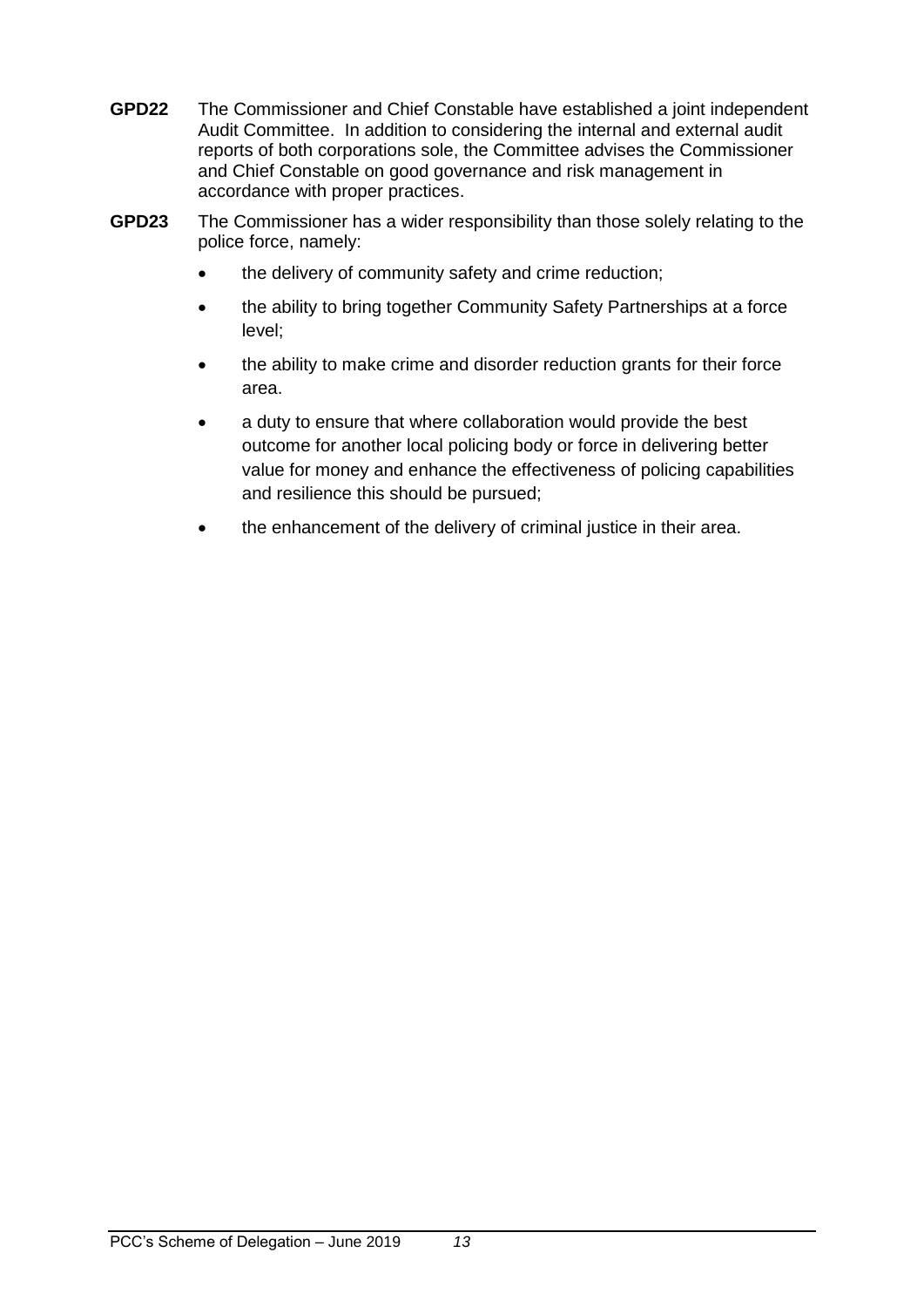- **GPD22** The Commissioner and Chief Constable have established a joint independent Audit Committee. In addition to considering the internal and external audit reports of both corporations sole, the Committee advises the Commissioner and Chief Constable on good governance and risk management in accordance with proper practices.
- **GPD23** The Commissioner has a wider responsibility than those solely relating to the police force, namely:
	- the delivery of community safety and crime reduction;
	- the ability to bring together Community Safety Partnerships at a force level;
	- the ability to make crime and disorder reduction grants for their force area.
	- a duty to ensure that where collaboration would provide the best outcome for another local policing body or force in delivering better value for money and enhance the effectiveness of policing capabilities and resilience this should be pursued;
	- the enhancement of the delivery of criminal justice in their area.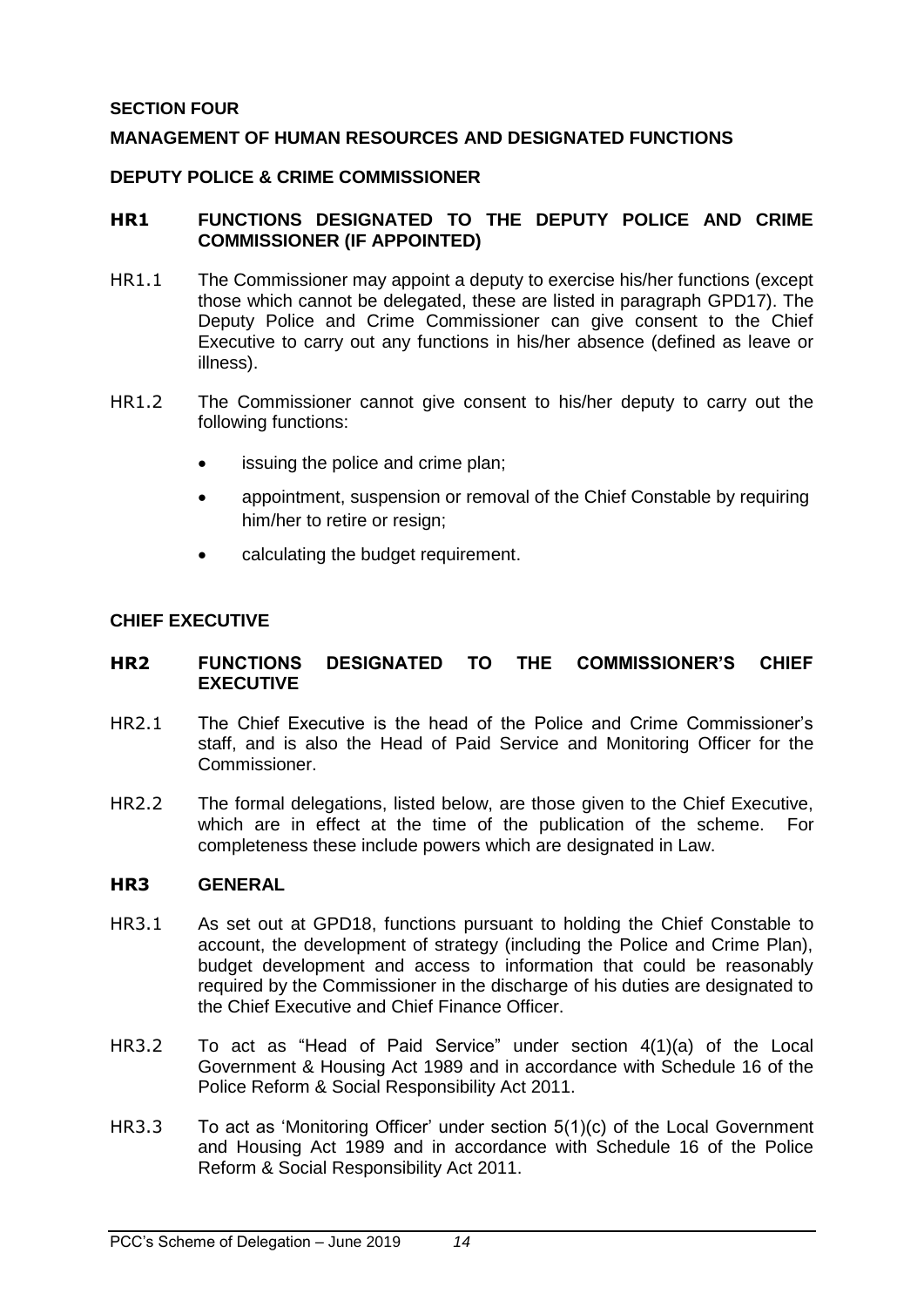### <span id="page-13-0"></span>**SECTION FOUR**

### <span id="page-13-1"></span>**MANAGEMENT OF HUMAN RESOURCES AND DESIGNATED FUNCTIONS**

#### <span id="page-13-2"></span>**DEPUTY POLICE & CRIME COMMISSIONER**

#### <span id="page-13-3"></span>**HR1 FUNCTIONS DESIGNATED TO THE DEPUTY POLICE AND CRIME COMMISSIONER (IF APPOINTED)**

- HR1.1 The Commissioner may appoint a deputy to exercise his/her functions (except those which cannot be delegated, these are listed in paragraph [GPD17\)](#page-10-0). The Deputy Police and Crime Commissioner can give consent to the Chief Executive to carry out any functions in his/her absence (defined as leave or illness).
- HR1.2 The Commissioner cannot give consent to his/her deputy to carry out the following functions:
	- issuing the police and crime plan;
	- appointment, suspension or removal of the Chief Constable by requiring him/her to retire or resign;
	- calculating the budget requirement.

#### <span id="page-13-4"></span>**CHIEF EXECUTIVE**

#### <span id="page-13-5"></span>**HR2 FUNCTIONS DESIGNATED TO THE COMMISSIONER'S CHIEF EXECUTIVE**

- HR2.1 The Chief Executive is the head of the Police and Crime Commissioner's staff, and is also the Head of Paid Service and Monitoring Officer for the Commissioner.
- HR2.2 The formal delegations, listed below, are those given to the Chief Executive, which are in effect at the time of the publication of the scheme. For completeness these include powers which are designated in Law.

#### <span id="page-13-6"></span>**HR3 GENERAL**

- HR3.1 As set out at GPD18, functions pursuant to holding the Chief Constable to account, the development of strategy (including the Police and Crime Plan), budget development and access to information that could be reasonably required by the Commissioner in the discharge of his duties are designated to the Chief Executive and Chief Finance Officer.
- HR3.2 To act as "Head of Paid Service" under section 4(1)(a) of the Local Government & Housing Act 1989 and in accordance with Schedule 16 of the Police Reform & Social Responsibility Act 2011.
- HR3.3 To act as 'Monitoring Officer' under section 5(1)(c) of the Local Government and Housing Act 1989 and in accordance with Schedule 16 of the Police Reform & Social Responsibility Act 2011.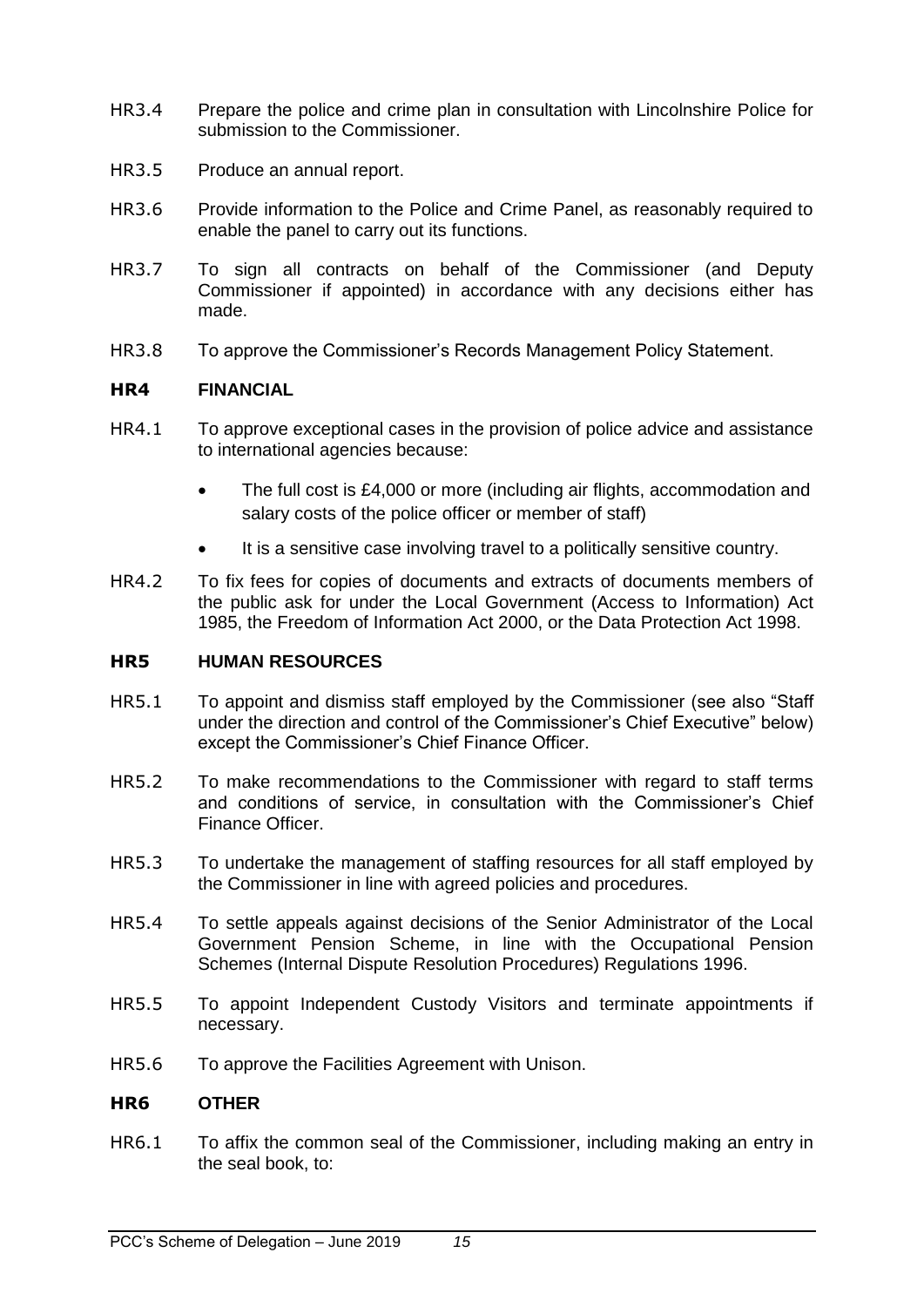- HR3.4 Prepare the police and crime plan in consultation with Lincolnshire Police for submission to the Commissioner.
- HR3.5 Produce an annual report.
- HR3.6 Provide information to the Police and Crime Panel, as reasonably required to enable the panel to carry out its functions.
- HR3.7 To sign all contracts on behalf of the Commissioner (and Deputy Commissioner if appointed) in accordance with any decisions either has made.
- HR3.8 To approve the Commissioner's Records Management Policy Statement.

#### <span id="page-14-0"></span>**HR4 FINANCIAL**

- HR4.1 To approve exceptional cases in the provision of police advice and assistance to international agencies because:
	- The full cost is £4,000 or more (including air flights, accommodation and salary costs of the police officer or member of staff)
	- It is a sensitive case involving travel to a politically sensitive country.
- HR4.2 To fix fees for copies of documents and extracts of documents members of the public ask for under the Local Government (Access to Information) Act 1985, the Freedom of Information Act 2000, or the Data Protection Act 1998.

#### <span id="page-14-1"></span>**HR5 HUMAN RESOURCES**

- HR5.1 To appoint and dismiss staff employed by the Commissioner (see also "Staff under the direction and control of the Commissioner's Chief Executive" below) except the Commissioner's Chief Finance Officer.
- HR5.2 To make recommendations to the Commissioner with regard to staff terms and conditions of service, in consultation with the Commissioner's Chief Finance Officer.
- HR5.3 To undertake the management of staffing resources for all staff employed by the Commissioner in line with agreed policies and procedures.
- HR5.4 To settle appeals against decisions of the Senior Administrator of the Local Government Pension Scheme, in line with the Occupational Pension Schemes (Internal Dispute Resolution Procedures) Regulations 1996.
- HR5.5 To appoint Independent Custody Visitors and terminate appointments if necessary.
- HR5.6 To approve the Facilities Agreement with Unison.

#### <span id="page-14-2"></span>**HR6 OTHER**

HR6.1 To affix the common seal of the Commissioner, including making an entry in the seal book, to: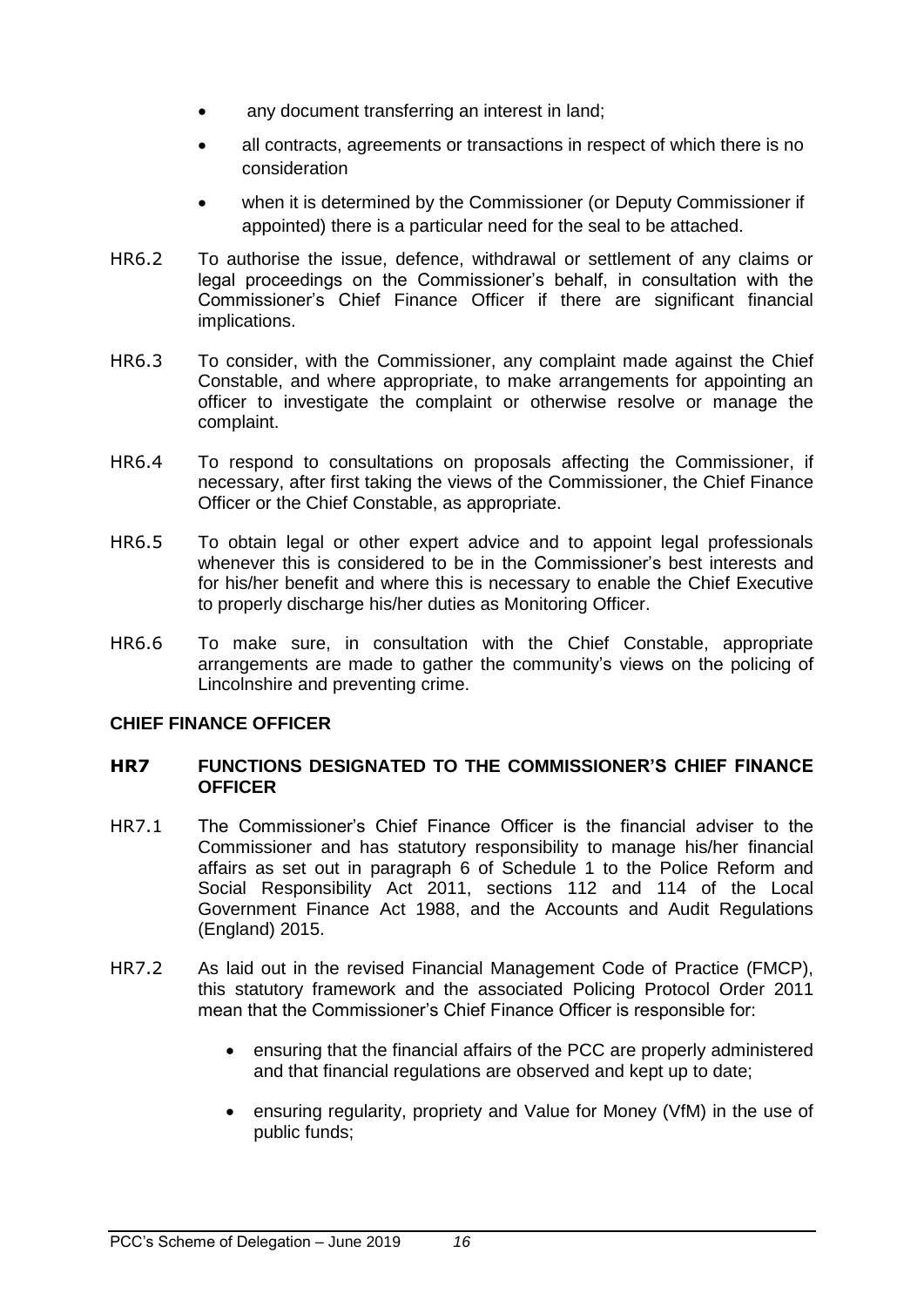- any document transferring an interest in land;
- all contracts, agreements or transactions in respect of which there is no consideration
- when it is determined by the Commissioner (or Deputy Commissioner if appointed) there is a particular need for the seal to be attached.
- HR6.2 To authorise the issue, defence, withdrawal or settlement of any claims or legal proceedings on the Commissioner's behalf, in consultation with the Commissioner's Chief Finance Officer if there are significant financial implications.
- HR6.3 To consider, with the Commissioner, any complaint made against the Chief Constable, and where appropriate, to make arrangements for appointing an officer to investigate the complaint or otherwise resolve or manage the complaint.
- HR6.4 To respond to consultations on proposals affecting the Commissioner, if necessary, after first taking the views of the Commissioner, the Chief Finance Officer or the Chief Constable, as appropriate.
- HR6.5 To obtain legal or other expert advice and to appoint legal professionals whenever this is considered to be in the Commissioner's best interests and for his/her benefit and where this is necessary to enable the Chief Executive to properly discharge his/her duties as Monitoring Officer.
- HR6.6 To make sure, in consultation with the Chief Constable, appropriate arrangements are made to gather the community's views on the policing of Lincolnshire and preventing crime.

## <span id="page-15-0"></span>**CHIEF FINANCE OFFICER**

#### <span id="page-15-1"></span>**HR7 FUNCTIONS DESIGNATED TO THE COMMISSIONER'S CHIEF FINANCE OFFICER**

- HR7.1 The Commissioner's Chief Finance Officer is the financial adviser to the Commissioner and has statutory responsibility to manage his/her financial affairs as set out in paragraph 6 of Schedule 1 to the Police Reform and Social Responsibility Act 2011, sections 112 and 114 of the Local Government Finance Act 1988, and the Accounts and Audit Regulations (England) 2015.
- HR7.2 As laid out in the revised Financial Management Code of Practice (FMCP), this statutory framework and the associated Policing Protocol Order 2011 mean that the Commissioner's Chief Finance Officer is responsible for:
	- ensuring that the financial affairs of the PCC are properly administered and that financial regulations are observed and kept up to date;
	- ensuring regularity, propriety and Value for Money (VfM) in the use of public funds;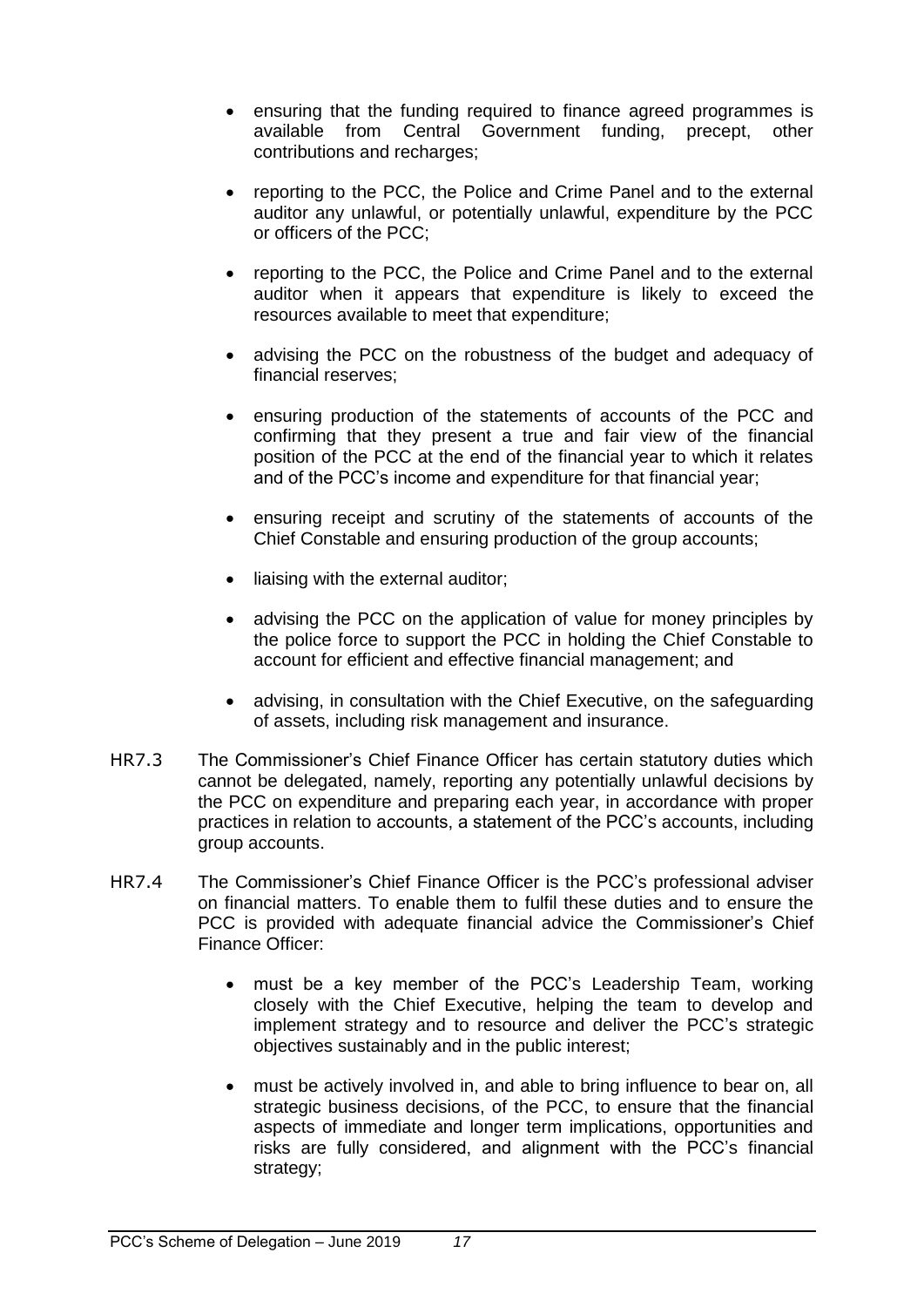- ensuring that the funding required to finance agreed programmes is available from Central Government funding, precept, other contributions and recharges;
- reporting to the PCC, the Police and Crime Panel and to the external auditor any unlawful, or potentially unlawful, expenditure by the PCC or officers of the PCC;
- reporting to the PCC, the Police and Crime Panel and to the external auditor when it appears that expenditure is likely to exceed the resources available to meet that expenditure;
- advising the PCC on the robustness of the budget and adequacy of financial reserves;
- ensuring production of the statements of accounts of the PCC and confirming that they present a true and fair view of the financial position of the PCC at the end of the financial year to which it relates and of the PCC's income and expenditure for that financial year;
- ensuring receipt and scrutiny of the statements of accounts of the Chief Constable and ensuring production of the group accounts;
- liaising with the external auditor;
- advising the PCC on the application of value for money principles by the police force to support the PCC in holding the Chief Constable to account for efficient and effective financial management; and
- advising, in consultation with the Chief Executive, on the safeguarding of assets, including risk management and insurance.
- HR7.3 The Commissioner's Chief Finance Officer has certain statutory duties which cannot be delegated, namely, reporting any potentially unlawful decisions by the PCC on expenditure and preparing each year, in accordance with proper practices in relation to accounts, a statement of the PCC's accounts, including group accounts.
- HR7.4 The Commissioner's Chief Finance Officer is the PCC's professional adviser on financial matters. To enable them to fulfil these duties and to ensure the PCC is provided with adequate financial advice the Commissioner's Chief Finance Officer:
	- must be a key member of the PCC's Leadership Team, working closely with the Chief Executive, helping the team to develop and implement strategy and to resource and deliver the PCC's strategic objectives sustainably and in the public interest;
	- must be actively involved in, and able to bring influence to bear on, all strategic business decisions, of the PCC, to ensure that the financial aspects of immediate and longer term implications, opportunities and risks are fully considered, and alignment with the PCC's financial strategy;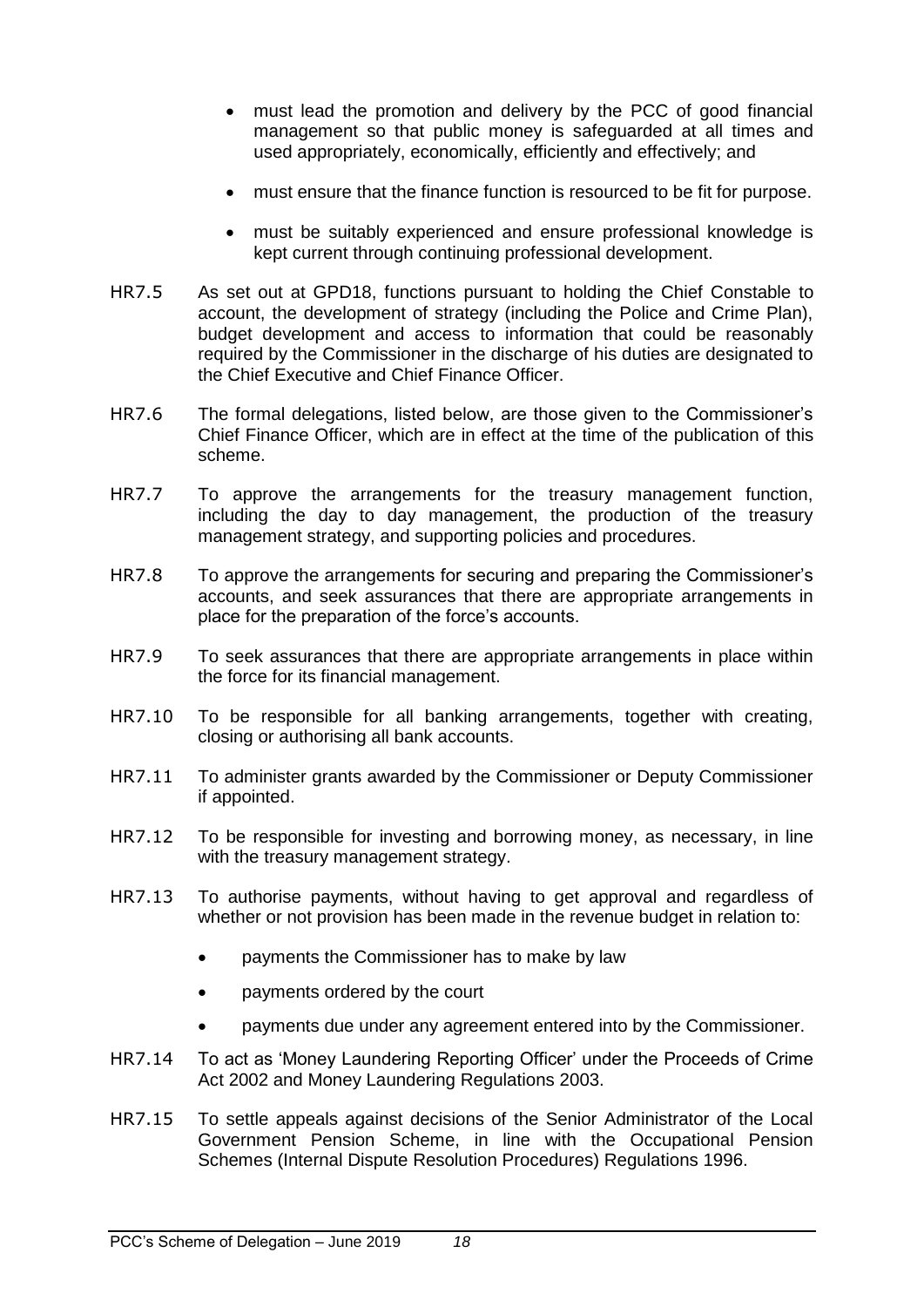- must lead the promotion and delivery by the PCC of good financial management so that public money is safeguarded at all times and used appropriately, economically, efficiently and effectively; and
- must ensure that the finance function is resourced to be fit for purpose.
- must be suitably experienced and ensure professional knowledge is kept current through continuing professional development.
- HR7.5 As set out at GPD18, functions pursuant to holding the Chief Constable to account, the development of strategy (including the Police and Crime Plan), budget development and access to information that could be reasonably required by the Commissioner in the discharge of his duties are designated to the Chief Executive and Chief Finance Officer.
- HR7.6 The formal delegations, listed below, are those given to the Commissioner's Chief Finance Officer, which are in effect at the time of the publication of this scheme.
- HR7.7 To approve the arrangements for the treasury management function, including the day to day management, the production of the treasury management strategy, and supporting policies and procedures.
- HR7.8 To approve the arrangements for securing and preparing the Commissioner's accounts, and seek assurances that there are appropriate arrangements in place for the preparation of the force's accounts.
- HR7.9 To seek assurances that there are appropriate arrangements in place within the force for its financial management.
- HR7.10 To be responsible for all banking arrangements, together with creating, closing or authorising all bank accounts.
- HR7.11 To administer grants awarded by the Commissioner or Deputy Commissioner if appointed.
- HR7.12 To be responsible for investing and borrowing money, as necessary, in line with the treasury management strategy.
- HR7.13 To authorise payments, without having to get approval and regardless of whether or not provision has been made in the revenue budget in relation to:
	- payments the Commissioner has to make by law
	- payments ordered by the court
	- payments due under any agreement entered into by the Commissioner.
- HR7.14 To act as 'Money Laundering Reporting Officer' under the Proceeds of Crime Act 2002 and Money Laundering Regulations 2003.
- HR7.15 To settle appeals against decisions of the Senior Administrator of the Local Government Pension Scheme, in line with the Occupational Pension Schemes (Internal Dispute Resolution Procedures) Regulations 1996.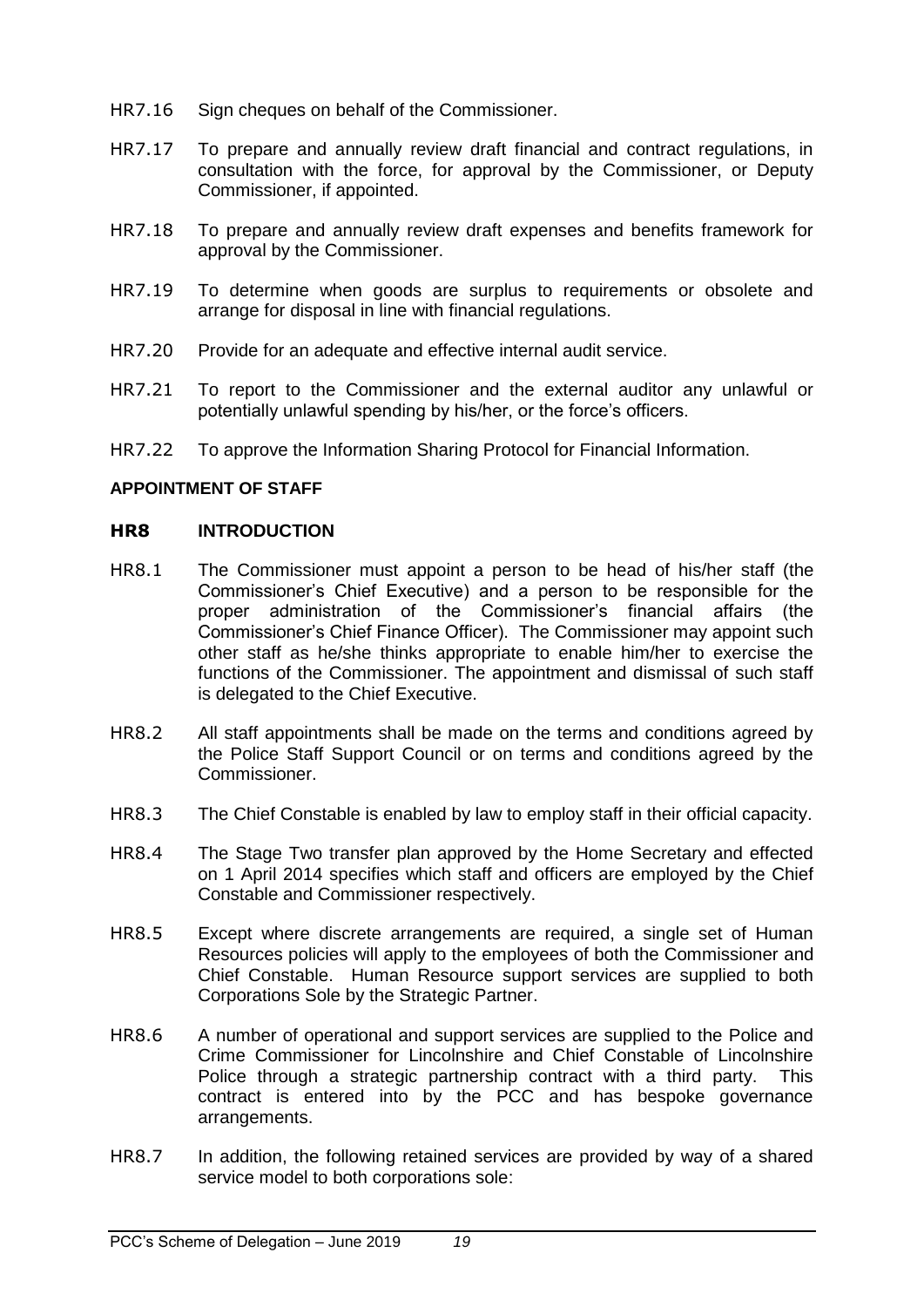- HR7.16 Sign cheques on behalf of the Commissioner.
- HR7.17 To prepare and annually review draft financial and contract regulations, in consultation with the force, for approval by the Commissioner, or Deputy Commissioner, if appointed.
- HR7.18 To prepare and annually review draft expenses and benefits framework for approval by the Commissioner.
- HR7.19 To determine when goods are surplus to requirements or obsolete and arrange for disposal in line with financial regulations.
- HR7.20 Provide for an adequate and effective internal audit service.
- HR7.21 To report to the Commissioner and the external auditor any unlawful or potentially unlawful spending by his/her, or the force's officers.
- HR7.22 To approve the Information Sharing Protocol for Financial Information.

#### <span id="page-18-0"></span>**APPOINTMENT OF STAFF**

#### <span id="page-18-1"></span>**HR8 INTRODUCTION**

- HR8.1 The Commissioner must appoint a person to be head of his/her staff (the Commissioner's Chief Executive) and a person to be responsible for the proper administration of the Commissioner's financial affairs (the Commissioner's Chief Finance Officer). The Commissioner may appoint such other staff as he/she thinks appropriate to enable him/her to exercise the functions of the Commissioner. The appointment and dismissal of such staff is delegated to the Chief Executive.
- HR8.2 All staff appointments shall be made on the terms and conditions agreed by the Police Staff Support Council or on terms and conditions agreed by the Commissioner.
- HR8.3 The Chief Constable is enabled by law to employ staff in their official capacity.
- HR8.4 The Stage Two transfer plan approved by the Home Secretary and effected on 1 April 2014 specifies which staff and officers are employed by the Chief Constable and Commissioner respectively.
- HR8.5 Except where discrete arrangements are required, a single set of Human Resources policies will apply to the employees of both the Commissioner and Chief Constable. Human Resource support services are supplied to both Corporations Sole by the Strategic Partner.
- HR8.6 A number of operational and support services are supplied to the Police and Crime Commissioner for Lincolnshire and Chief Constable of Lincolnshire Police through a strategic partnership contract with a third party. This contract is entered into by the PCC and has bespoke governance arrangements.
- HR8.7 In addition, the following retained services are provided by way of a shared service model to both corporations sole: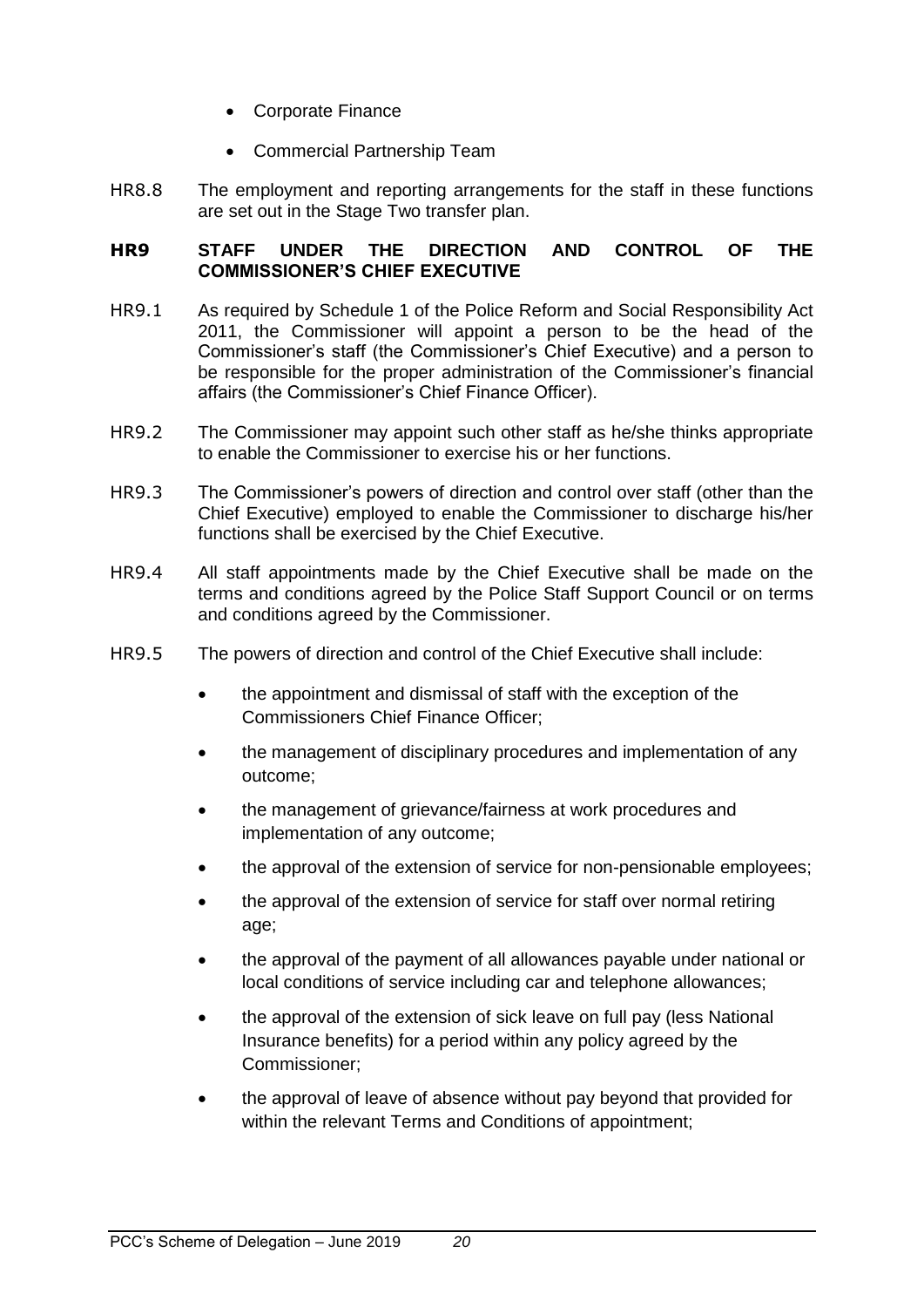- Corporate Finance
- Commercial Partnership Team
- HR8.8 The employment and reporting arrangements for the staff in these functions are set out in the Stage Two transfer plan.

## <span id="page-19-0"></span>**HR9 STAFF UNDER THE DIRECTION AND CONTROL OF THE COMMISSIONER'S CHIEF EXECUTIVE**

- HR9.1 As required by Schedule 1 of the Police Reform and Social Responsibility Act 2011, the Commissioner will appoint a person to be the head of the Commissioner's staff (the Commissioner's Chief Executive) and a person to be responsible for the proper administration of the Commissioner's financial affairs (the Commissioner's Chief Finance Officer).
- HR9.2 The Commissioner may appoint such other staff as he/she thinks appropriate to enable the Commissioner to exercise his or her functions.
- HR9.3 The Commissioner's powers of direction and control over staff (other than the Chief Executive) employed to enable the Commissioner to discharge his/her functions shall be exercised by the Chief Executive.
- HR9.4 All staff appointments made by the Chief Executive shall be made on the terms and conditions agreed by the Police Staff Support Council or on terms and conditions agreed by the Commissioner.
- <span id="page-19-1"></span>HR9.5 The powers of direction and control of the Chief Executive shall include:
	- the appointment and dismissal of staff with the exception of the Commissioners Chief Finance Officer;
	- the management of disciplinary procedures and implementation of any outcome;
	- the management of grievance/fairness at work procedures and implementation of any outcome;
	- the approval of the extension of service for non-pensionable employees;
	- the approval of the extension of service for staff over normal retiring age;
	- the approval of the payment of all allowances payable under national or local conditions of service including car and telephone allowances;
	- the approval of the extension of sick leave on full pay (less National Insurance benefits) for a period within any policy agreed by the Commissioner;
	- the approval of leave of absence without pay beyond that provided for within the relevant Terms and Conditions of appointment: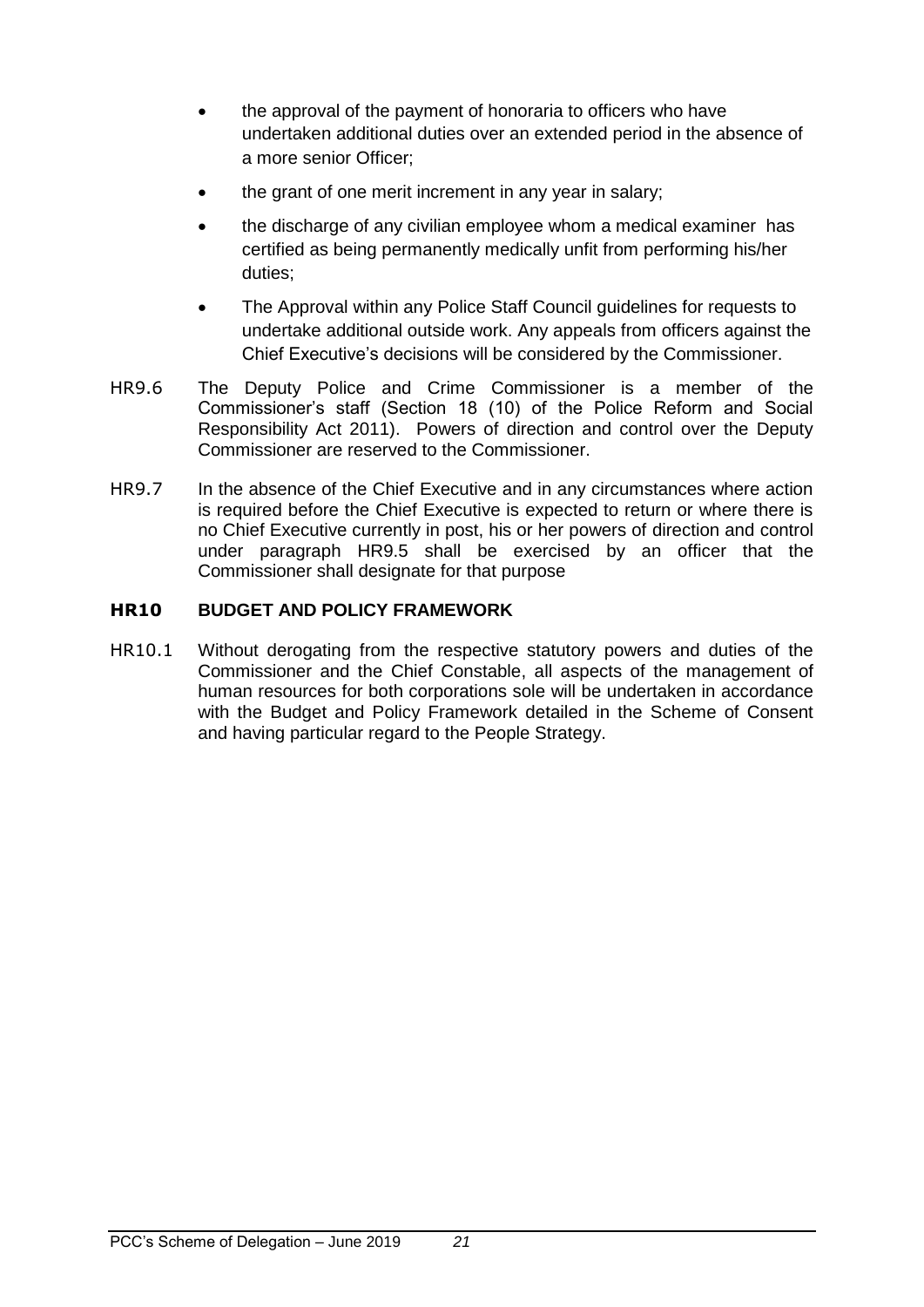- the approval of the payment of honoraria to officers who have undertaken additional duties over an extended period in the absence of a more senior Officer;
- the grant of one merit increment in any year in salary;
- the discharge of any civilian employee whom a medical examiner has certified as being permanently medically unfit from performing his/her duties;
- The Approval within any Police Staff Council guidelines for requests to undertake additional outside work. Any appeals from officers against the Chief Executive's decisions will be considered by the Commissioner.
- HR9.6 The Deputy Police and Crime Commissioner is a member of the Commissioner's staff (Section 18 (10) of the Police Reform and Social Responsibility Act 2011). Powers of direction and control over the Deputy Commissioner are reserved to the Commissioner.
- HR9.7 In the absence of the Chief Executive and in any circumstances where action is required before the Chief Executive is expected to return or where there is no Chief Executive currently in post, his or her powers of direction and control under paragraph [HR9.5](#page-19-1) shall be exercised by an officer that the Commissioner shall designate for that purpose

## <span id="page-20-0"></span>**HR10 BUDGET AND POLICY FRAMEWORK**

HR10.1 Without derogating from the respective statutory powers and duties of the Commissioner and the Chief Constable, all aspects of the management of human resources for both corporations sole will be undertaken in accordance with the Budget and Policy Framework detailed in the Scheme of Consent and having particular regard to the People Strategy.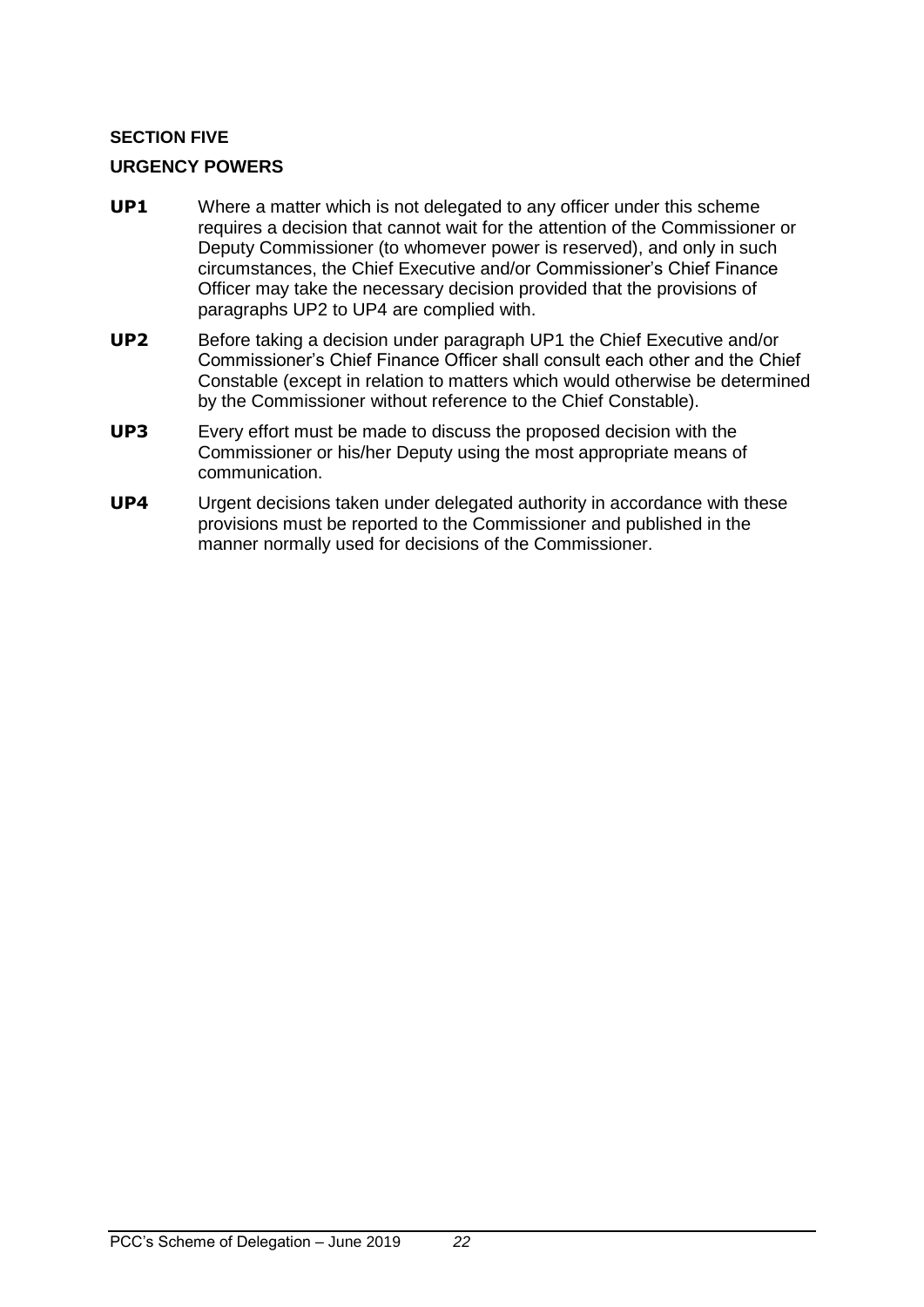## <span id="page-21-0"></span>**SECTION FIVE**

## <span id="page-21-1"></span>**URGENCY POWERS**

- **UP1** Where a matter which is not delegated to any officer under this scheme requires a decision that cannot wait for the attention of the Commissioner or Deputy Commissioner (to whomever power is reserved), and only in such circumstances, the Chief Executive and/or Commissioner's Chief Finance Officer may take the necessary decision provided that the provisions of paragraphs UP2 to UP4 are complied with.
- **UP2** Before taking a decision under paragraph UP1 the Chief Executive and/or Commissioner's Chief Finance Officer shall consult each other and the Chief Constable (except in relation to matters which would otherwise be determined by the Commissioner without reference to the Chief Constable).
- **UP3** Every effort must be made to discuss the proposed decision with the Commissioner or his/her Deputy using the most appropriate means of communication.
- **UP4** Urgent decisions taken under delegated authority in accordance with these provisions must be reported to the Commissioner and published in the manner normally used for decisions of the Commissioner.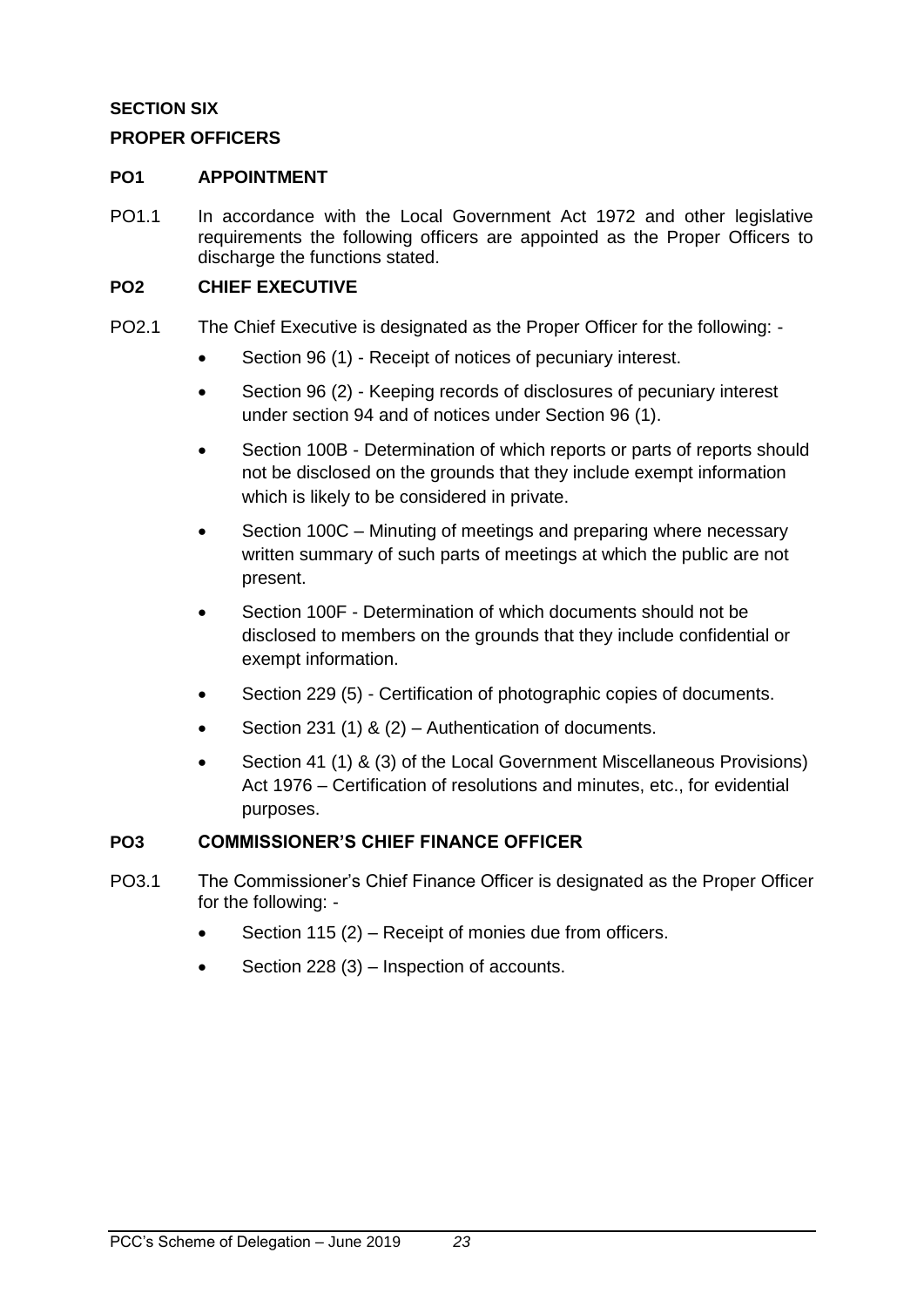## <span id="page-22-0"></span>**SECTION SIX**

## <span id="page-22-1"></span>**PROPER OFFICERS**

#### <span id="page-22-2"></span>**PO1 APPOINTMENT**

PO1.1 In accordance with the Local Government Act 1972 and other legislative requirements the following officers are appointed as the Proper Officers to discharge the functions stated.

#### <span id="page-22-3"></span>**PO2 CHIEF EXECUTIVE**

- PO2.1 The Chief Executive is designated as the Proper Officer for the following:
	- Section 96 (1) Receipt of notices of pecuniary interest.
	- Section 96 (2) Keeping records of disclosures of pecuniary interest under section 94 and of notices under Section 96 (1).
	- Section 100B Determination of which reports or parts of reports should not be disclosed on the grounds that they include exempt information which is likely to be considered in private.
	- Section 100C Minuting of meetings and preparing where necessary written summary of such parts of meetings at which the public are not present.
	- Section 100F Determination of which documents should not be disclosed to members on the grounds that they include confidential or exempt information.
	- Section 229 (5) Certification of photographic copies of documents.
	- Section 231 (1) & (2) Authentication of documents.
	- Section 41 (1) & (3) of the Local Government Miscellaneous Provisions) Act 1976 – Certification of resolutions and minutes, etc., for evidential purposes.

## <span id="page-22-4"></span>**PO3 COMMISSIONER'S CHIEF FINANCE OFFICER**

- PO3.1 The Commissioner's Chief Finance Officer is designated as the Proper Officer for the following: -
	- Section 115 (2) Receipt of monies due from officers.
	- Section 228 (3) Inspection of accounts.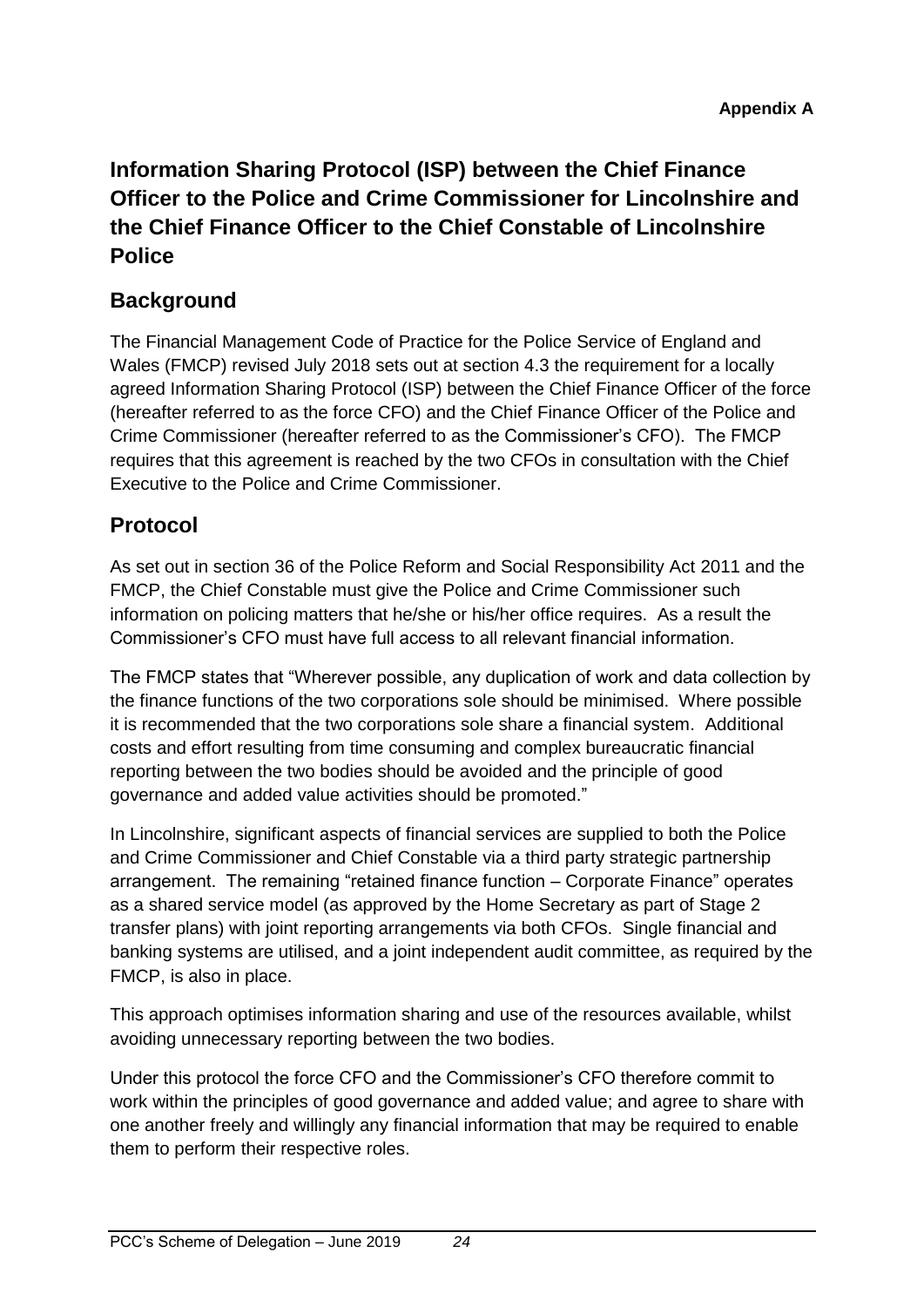## <span id="page-23-0"></span>**Information Sharing Protocol (ISP) between the Chief Finance Officer to the Police and Crime Commissioner for Lincolnshire and the Chief Finance Officer to the Chief Constable of Lincolnshire Police**

## **Background**

The Financial Management Code of Practice for the Police Service of England and Wales (FMCP) revised July 2018 sets out at section 4.3 the requirement for a locally agreed Information Sharing Protocol (ISP) between the Chief Finance Officer of the force (hereafter referred to as the force CFO) and the Chief Finance Officer of the Police and Crime Commissioner (hereafter referred to as the Commissioner's CFO). The FMCP requires that this agreement is reached by the two CFOs in consultation with the Chief Executive to the Police and Crime Commissioner.

## **Protocol**

As set out in section 36 of the Police Reform and Social Responsibility Act 2011 and the FMCP, the Chief Constable must give the Police and Crime Commissioner such information on policing matters that he/she or his/her office requires. As a result the Commissioner's CFO must have full access to all relevant financial information.

The FMCP states that "Wherever possible, any duplication of work and data collection by the finance functions of the two corporations sole should be minimised. Where possible it is recommended that the two corporations sole share a financial system. Additional costs and effort resulting from time consuming and complex bureaucratic financial reporting between the two bodies should be avoided and the principle of good governance and added value activities should be promoted."

In Lincolnshire, significant aspects of financial services are supplied to both the Police and Crime Commissioner and Chief Constable via a third party strategic partnership arrangement. The remaining "retained finance function – Corporate Finance" operates as a shared service model (as approved by the Home Secretary as part of Stage 2 transfer plans) with joint reporting arrangements via both CFOs. Single financial and banking systems are utilised, and a joint independent audit committee, as required by the FMCP, is also in place.

This approach optimises information sharing and use of the resources available, whilst avoiding unnecessary reporting between the two bodies.

Under this protocol the force CFO and the Commissioner's CFO therefore commit to work within the principles of good governance and added value; and agree to share with one another freely and willingly any financial information that may be required to enable them to perform their respective roles.